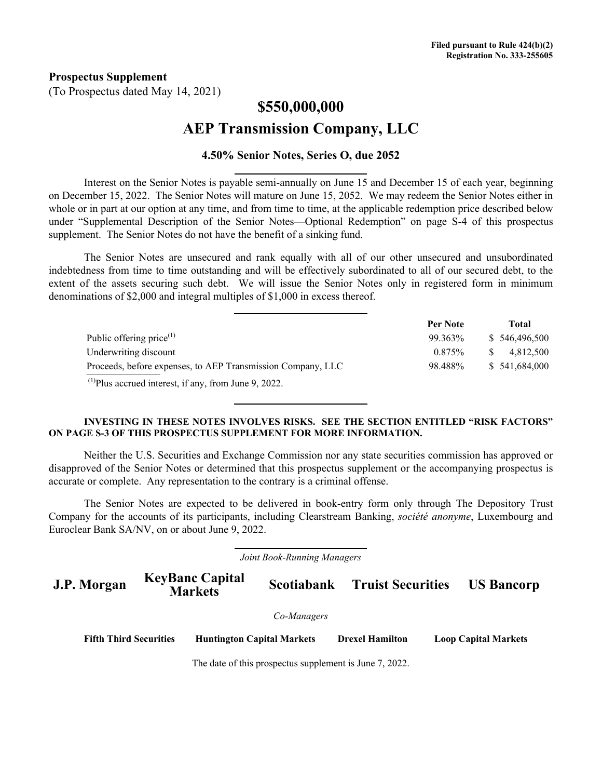**Prospectus Supplement**

(To Prospectus dated May 14, 2021)

# **\$550,000,000 AEP Transmission Company, LLC**

### **4.50% Senior Notes, Series O, due 2052**

Interest on the Senior Notes is payable semi-annually on June 15 and December 15 of each year, beginning on December 15, 2022. The Senior Notes will mature on June 15, 2052. We may redeem the Senior Notes either in whole or in part at our option at any time, and from time to time, at the applicable redemption price described below under "Supplemental Description of the Senior Notes—Optional Redemption" on page S-4 of this prospectus supplement. The Senior Notes do not have the benefit of a sinking fund.

The Senior Notes are unsecured and rank equally with all of our other unsecured and unsubordinated indebtedness from time to time outstanding and will be effectively subordinated to all of our secured debt, to the extent of the assets securing such debt. We will issue the Senior Notes only in registered form in minimum denominations of \$2,000 and integral multiples of \$1,000 in excess thereof.

|                                                                  | Per Note | Total         |
|------------------------------------------------------------------|----------|---------------|
| Public offering price $(1)$                                      | 99.363%  | \$546,496,500 |
| Underwriting discount                                            | 0.875%   | 4.812.500     |
| Proceeds, before expenses, to AEP Transmission Company, LLC      | 98.488%  | \$541,684,000 |
| <sup>(1)</sup> Plus accrued interest, if any, from June 9, 2022. |          |               |

#### **INVESTING IN THESE NOTES INVOLVES RISKS. SEE THE SECTION ENTITLED "RISK FACTORS" ON PAGE S-3 OF THIS PROSPECTUS SUPPLEMENT FOR MORE INFORMATION.**

Neither the U.S. Securities and Exchange Commission nor any state securities commission has approved or disapproved of the Senior Notes or determined that this prospectus supplement or the accompanying prospectus is accurate or complete. Any representation to the contrary is a criminal offense.

The Senior Notes are expected to be delivered in book-entry form only through The Depository Trust Company for the accounts of its participants, including Clearstream Banking, *société anonyme*, Luxembourg and Euroclear Bank SA/NV, on or about June 9, 2022.

*Joint Book-Running Managers*

**J.P. Morgan KeyBanc Capital Scotiabank Truist Securities US Bancorp** 

*Co-Managers*

**Fifth Third Securities Huntington Capital Markets Drexel Hamilton Loop Capital Markets**

The date of this prospectus supplement is June 7, 2022.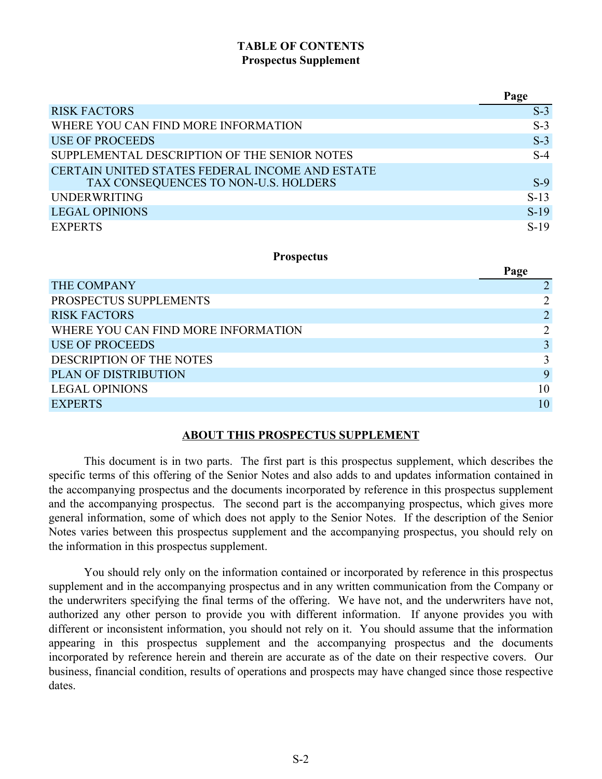### **TABLE OF CONTENTS Prospectus Supplement**

|                                                                                         | Page   |
|-----------------------------------------------------------------------------------------|--------|
| <b>RISK FACTORS</b>                                                                     | $S-3$  |
| WHERE YOU CAN FIND MORE INFORMATION                                                     | $S-3$  |
| <b>USE OF PROCEEDS</b>                                                                  | $S-3$  |
| SUPPLEMENTAL DESCRIPTION OF THE SENIOR NOTES                                            | $S-4$  |
| CERTAIN UNITED STATES FEDERAL INCOME AND ESTATE<br>TAX CONSEQUENCES TO NON-U.S. HOLDERS | $S-9$  |
| <b>UNDERWRITING</b>                                                                     | $S-13$ |
| <b>LEGAL OPINIONS</b>                                                                   | $S-19$ |
| <b>EXPERTS</b>                                                                          | $S-19$ |

### **Prospectus**

|                                     | Page           |
|-------------------------------------|----------------|
| THE COMPANY                         |                |
| PROSPECTUS SUPPLEMENTS              |                |
| <b>RISK FACTORS</b>                 | $\overline{2}$ |
| WHERE YOU CAN FIND MORE INFORMATION | 2              |
| <b>USE OF PROCEEDS</b>              | $\mathbf{R}$   |
| DESCRIPTION OF THE NOTES            | $\mathbf{3}$   |
| <b>PLAN OF DISTRIBUTION</b>         | 9              |
| <b>LEGAL OPINIONS</b>               | 10             |
| <b>EXPERTS</b>                      | 10             |

### **ABOUT THIS PROSPECTUS SUPPLEMENT**

This document is in two parts. The first part is this prospectus supplement, which describes the specific terms of this offering of the Senior Notes and also adds to and updates information contained in the accompanying prospectus and the documents incorporated by reference in this prospectus supplement and the accompanying prospectus. The second part is the accompanying prospectus, which gives more general information, some of which does not apply to the Senior Notes. If the description of the Senior Notes varies between this prospectus supplement and the accompanying prospectus, you should rely on the information in this prospectus supplement.

You should rely only on the information contained or incorporated by reference in this prospectus supplement and in the accompanying prospectus and in any written communication from the Company or the underwriters specifying the final terms of the offering. We have not, and the underwriters have not, authorized any other person to provide you with different information. If anyone provides you with different or inconsistent information, you should not rely on it. You should assume that the information appearing in this prospectus supplement and the accompanying prospectus and the documents incorporated by reference herein and therein are accurate as of the date on their respective covers. Our business, financial condition, results of operations and prospects may have changed since those respective dates.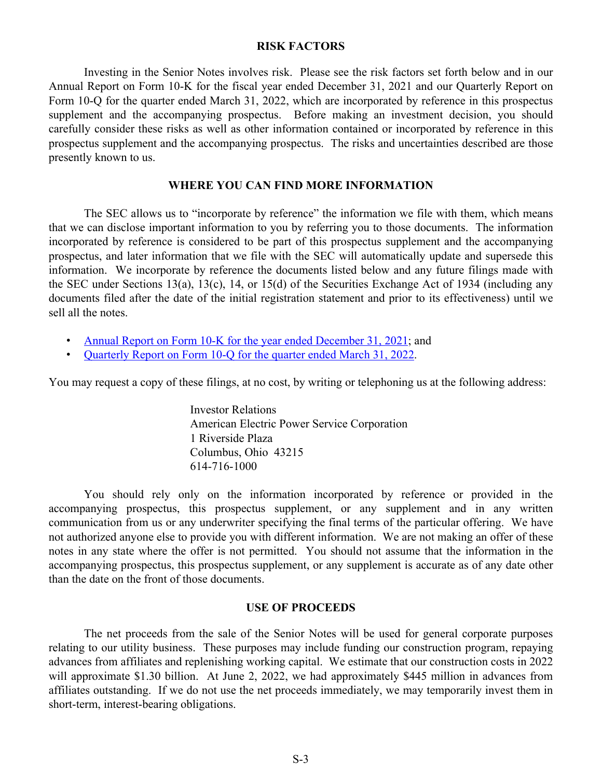#### **RISK FACTORS**

<span id="page-2-0"></span>Investing in the Senior Notes involves risk. Please see the risk factors set forth below and in our Annual Report on Form 10-K for the fiscal year ended December 31, 2021 and our Quarterly Report on Form 10-Q for the quarter ended March 31, 2022, which are incorporated by reference in this prospectus supplement and the accompanying prospectus. Before making an investment decision, you should carefully consider these risks as well as other information contained or incorporated by reference in this prospectus supplement and the accompanying prospectus. The risks and uncertainties described are those presently known to us.

### **WHERE YOU CAN FIND MORE INFORMATION**

The SEC allows us to "incorporate by reference" the information we file with them, which means that we can disclose important information to you by referring you to those documents. The information incorporated by reference is considered to be part of this prospectus supplement and the accompanying prospectus, and later information that we file with the SEC will automatically update and supersede this information. We incorporate by reference the documents listed below and any future filings made with the SEC under Sections 13(a), 13(c), 14, or 15(d) of the Securities Exchange Act of 1934 (including any documents filed after the date of the initial registration statement and prior to its effectiveness) until we sell all the notes.

- [Annual Report on Form 10-K for the year ended December 31, 2021](https://www.sec.gov/ix?doc=/Archives/edgar/data/0001702494/000000490422000024/aep-20211231.htm); and
- [Quarterly Report on Form 10-Q for the quarter ended March 31, 2022](https://www.sec.gov/ix?doc=/Archives/edgar/data/0001702494/000000490422000053/aep-20220331.htm).

You may request a copy of these filings, at no cost, by writing or telephoning us at the following address:

Investor Relations American Electric Power Service Corporation 1 Riverside Plaza Columbus, Ohio 43215 614-716-1000

You should rely only on the information incorporated by reference or provided in the accompanying prospectus, this prospectus supplement, or any supplement and in any written communication from us or any underwriter specifying the final terms of the particular offering. We have not authorized anyone else to provide you with different information. We are not making an offer of these notes in any state where the offer is not permitted. You should not assume that the information in the accompanying prospectus, this prospectus supplement, or any supplement is accurate as of any date other than the date on the front of those documents.

#### **USE OF PROCEEDS**

The net proceeds from the sale of the Senior Notes will be used for general corporate purposes relating to our utility business. These purposes may include funding our construction program, repaying advances from affiliates and replenishing working capital. We estimate that our construction costs in 2022 will approximate \$1.30 billion. At June 2, 2022, we had approximately \$445 million in advances from affiliates outstanding. If we do not use the net proceeds immediately, we may temporarily invest them in short-term, interest-bearing obligations.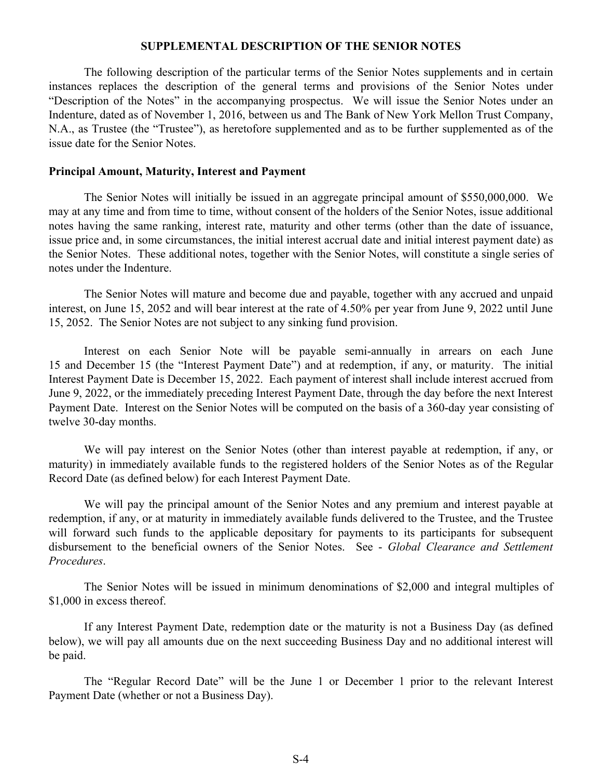### **SUPPLEMENTAL DESCRIPTION OF THE SENIOR NOTES**

<span id="page-3-0"></span>The following description of the particular terms of the Senior Notes supplements and in certain instances replaces the description of the general terms and provisions of the Senior Notes under "Description of the Notes" in the accompanying prospectus. We will issue the Senior Notes under an Indenture, dated as of November 1, 2016, between us and The Bank of New York Mellon Trust Company, N.A., as Trustee (the "Trustee"), as heretofore supplemented and as to be further supplemented as of the issue date for the Senior Notes.

#### **Principal Amount, Maturity, Interest and Payment**

The Senior Notes will initially be issued in an aggregate principal amount of \$550,000,000. We may at any time and from time to time, without consent of the holders of the Senior Notes, issue additional notes having the same ranking, interest rate, maturity and other terms (other than the date of issuance, issue price and, in some circumstances, the initial interest accrual date and initial interest payment date) as the Senior Notes. These additional notes, together with the Senior Notes, will constitute a single series of notes under the Indenture.

The Senior Notes will mature and become due and payable, together with any accrued and unpaid interest, on June 15, 2052 and will bear interest at the rate of 4.50% per year from June 9, 2022 until June 15, 2052. The Senior Notes are not subject to any sinking fund provision.

Interest on each Senior Note will be payable semi-annually in arrears on each June 15 and December 15 (the "Interest Payment Date") and at redemption, if any, or maturity. The initial Interest Payment Date is December 15, 2022. Each payment of interest shall include interest accrued from June 9, 2022, or the immediately preceding Interest Payment Date, through the day before the next Interest Payment Date. Interest on the Senior Notes will be computed on the basis of a 360-day year consisting of twelve 30-day months.

We will pay interest on the Senior Notes (other than interest payable at redemption, if any, or maturity) in immediately available funds to the registered holders of the Senior Notes as of the Regular Record Date (as defined below) for each Interest Payment Date.

We will pay the principal amount of the Senior Notes and any premium and interest payable at redemption, if any, or at maturity in immediately available funds delivered to the Trustee, and the Trustee will forward such funds to the applicable depositary for payments to its participants for subsequent disbursement to the beneficial owners of the Senior Notes. See - *Global Clearance and Settlement Procedures*.

The Senior Notes will be issued in minimum denominations of \$2,000 and integral multiples of \$1,000 in excess thereof.

If any Interest Payment Date, redemption date or the maturity is not a Business Day (as defined below), we will pay all amounts due on the next succeeding Business Day and no additional interest will be paid.

The "Regular Record Date" will be the June 1 or December 1 prior to the relevant Interest Payment Date (whether or not a Business Day).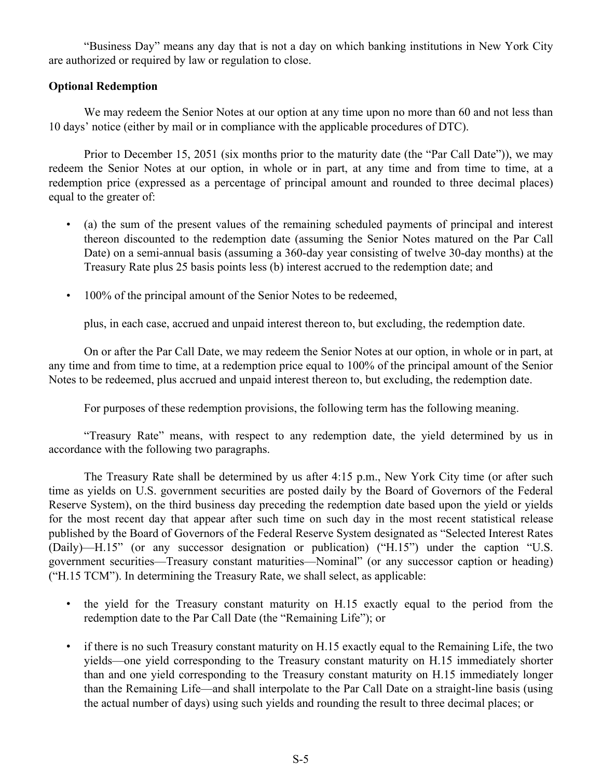"Business Day" means any day that is not a day on which banking institutions in New York City are authorized or required by law or regulation to close.

### **Optional Redemption**

We may redeem the Senior Notes at our option at any time upon no more than 60 and not less than 10 days' notice (either by mail or in compliance with the applicable procedures of DTC).

Prior to December 15, 2051 (six months prior to the maturity date (the "Par Call Date")), we may redeem the Senior Notes at our option, in whole or in part, at any time and from time to time, at a redemption price (expressed as a percentage of principal amount and rounded to three decimal places) equal to the greater of:

- (a) the sum of the present values of the remaining scheduled payments of principal and interest thereon discounted to the redemption date (assuming the Senior Notes matured on the Par Call Date) on a semi-annual basis (assuming a 360-day year consisting of twelve 30-day months) at the Treasury Rate plus 25 basis points less (b) interest accrued to the redemption date; and
- 100% of the principal amount of the Senior Notes to be redeemed,

plus, in each case, accrued and unpaid interest thereon to, but excluding, the redemption date.

On or after the Par Call Date, we may redeem the Senior Notes at our option, in whole or in part, at any time and from time to time, at a redemption price equal to 100% of the principal amount of the Senior Notes to be redeemed, plus accrued and unpaid interest thereon to, but excluding, the redemption date.

For purposes of these redemption provisions, the following term has the following meaning.

"Treasury Rate" means, with respect to any redemption date, the yield determined by us in accordance with the following two paragraphs.

The Treasury Rate shall be determined by us after 4:15 p.m., New York City time (or after such time as yields on U.S. government securities are posted daily by the Board of Governors of the Federal Reserve System), on the third business day preceding the redemption date based upon the yield or yields for the most recent day that appear after such time on such day in the most recent statistical release published by the Board of Governors of the Federal Reserve System designated as "Selected Interest Rates (Daily)—H.15" (or any successor designation or publication) ("H.15") under the caption "U.S. government securities—Treasury constant maturities—Nominal" (or any successor caption or heading) ("H.15 TCM"). In determining the Treasury Rate, we shall select, as applicable:

- the yield for the Treasury constant maturity on H.15 exactly equal to the period from the redemption date to the Par Call Date (the "Remaining Life"); or
- if there is no such Treasury constant maturity on H.15 exactly equal to the Remaining Life, the two yields—one yield corresponding to the Treasury constant maturity on H.15 immediately shorter than and one yield corresponding to the Treasury constant maturity on H.15 immediately longer than the Remaining Life—and shall interpolate to the Par Call Date on a straight-line basis (using the actual number of days) using such yields and rounding the result to three decimal places; or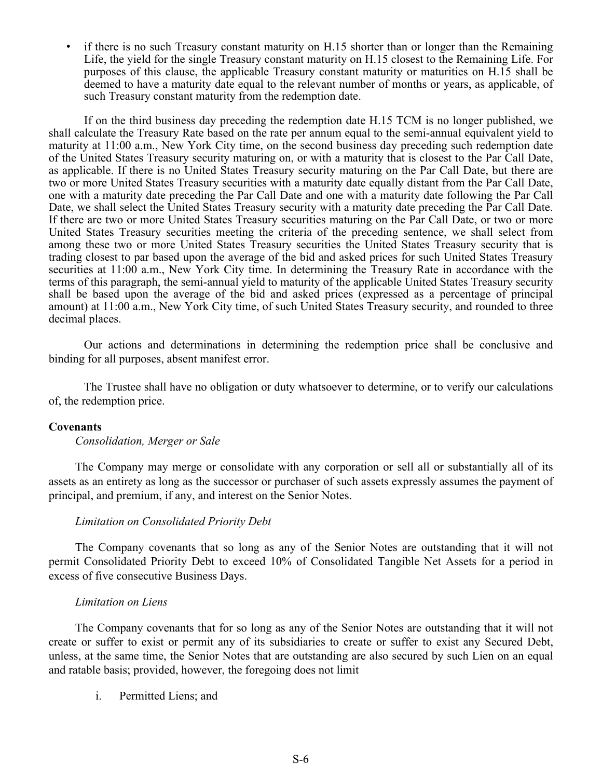• if there is no such Treasury constant maturity on H.15 shorter than or longer than the Remaining Life, the yield for the single Treasury constant maturity on H.15 closest to the Remaining Life. For purposes of this clause, the applicable Treasury constant maturity or maturities on H.15 shall be deemed to have a maturity date equal to the relevant number of months or years, as applicable, of such Treasury constant maturity from the redemption date.

If on the third business day preceding the redemption date H.15 TCM is no longer published, we shall calculate the Treasury Rate based on the rate per annum equal to the semi-annual equivalent yield to maturity at 11:00 a.m., New York City time, on the second business day preceding such redemption date of the United States Treasury security maturing on, or with a maturity that is closest to the Par Call Date, as applicable. If there is no United States Treasury security maturing on the Par Call Date, but there are two or more United States Treasury securities with a maturity date equally distant from the Par Call Date, one with a maturity date preceding the Par Call Date and one with a maturity date following the Par Call Date, we shall select the United States Treasury security with a maturity date preceding the Par Call Date. If there are two or more United States Treasury securities maturing on the Par Call Date, or two or more United States Treasury securities meeting the criteria of the preceding sentence, we shall select from among these two or more United States Treasury securities the United States Treasury security that is trading closest to par based upon the average of the bid and asked prices for such United States Treasury securities at 11:00 a.m., New York City time. In determining the Treasury Rate in accordance with the terms of this paragraph, the semi-annual yield to maturity of the applicable United States Treasury security shall be based upon the average of the bid and asked prices (expressed as a percentage of principal amount) at 11:00 a.m., New York City time, of such United States Treasury security, and rounded to three decimal places.

Our actions and determinations in determining the redemption price shall be conclusive and binding for all purposes, absent manifest error.

The Trustee shall have no obligation or duty whatsoever to determine, or to verify our calculations of, the redemption price.

### **Covenants**

*Consolidation, Merger or Sale*

The Company may merge or consolidate with any corporation or sell all or substantially all of its assets as an entirety as long as the successor or purchaser of such assets expressly assumes the payment of principal, and premium, if any, and interest on the Senior Notes.

#### *Limitation on Consolidated Priority Debt*

The Company covenants that so long as any of the Senior Notes are outstanding that it will not permit Consolidated Priority Debt to exceed 10% of Consolidated Tangible Net Assets for a period in excess of five consecutive Business Days.

#### *Limitation on Liens*

The Company covenants that for so long as any of the Senior Notes are outstanding that it will not create or suffer to exist or permit any of its subsidiaries to create or suffer to exist any Secured Debt, unless, at the same time, the Senior Notes that are outstanding are also secured by such Lien on an equal and ratable basis; provided, however, the foregoing does not limit

i. Permitted Liens; and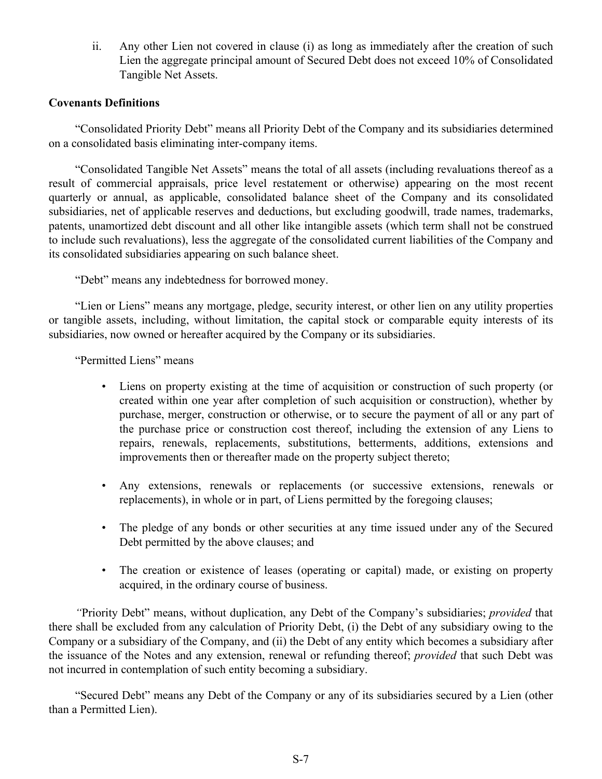ii. Any other Lien not covered in clause (i) as long as immediately after the creation of such Lien the aggregate principal amount of Secured Debt does not exceed 10% of Consolidated Tangible Net Assets.

### **Covenants Definitions**

"Consolidated Priority Debt" means all Priority Debt of the Company and its subsidiaries determined on a consolidated basis eliminating inter-company items.

"Consolidated Tangible Net Assets" means the total of all assets (including revaluations thereof as a result of commercial appraisals, price level restatement or otherwise) appearing on the most recent quarterly or annual, as applicable, consolidated balance sheet of the Company and its consolidated subsidiaries, net of applicable reserves and deductions, but excluding goodwill, trade names, trademarks, patents, unamortized debt discount and all other like intangible assets (which term shall not be construed to include such revaluations), less the aggregate of the consolidated current liabilities of the Company and its consolidated subsidiaries appearing on such balance sheet.

"Debt" means any indebtedness for borrowed money.

"Lien or Liens" means any mortgage, pledge, security interest, or other lien on any utility properties or tangible assets, including, without limitation, the capital stock or comparable equity interests of its subsidiaries, now owned or hereafter acquired by the Company or its subsidiaries.

"Permitted Liens" means

- Liens on property existing at the time of acquisition or construction of such property (or created within one year after completion of such acquisition or construction), whether by purchase, merger, construction or otherwise, or to secure the payment of all or any part of the purchase price or construction cost thereof, including the extension of any Liens to repairs, renewals, replacements, substitutions, betterments, additions, extensions and improvements then or thereafter made on the property subject thereto;
- Any extensions, renewals or replacements (or successive extensions, renewals or replacements), in whole or in part, of Liens permitted by the foregoing clauses;
- The pledge of any bonds or other securities at any time issued under any of the Secured Debt permitted by the above clauses; and
- The creation or existence of leases (operating or capital) made, or existing on property acquired, in the ordinary course of business.

*"*Priority Debt" means, without duplication, any Debt of the Company's subsidiaries; *provided* that there shall be excluded from any calculation of Priority Debt, (i) the Debt of any subsidiary owing to the Company or a subsidiary of the Company, and (ii) the Debt of any entity which becomes a subsidiary after the issuance of the Notes and any extension, renewal or refunding thereof; *provided* that such Debt was not incurred in contemplation of such entity becoming a subsidiary.

"Secured Debt" means any Debt of the Company or any of its subsidiaries secured by a Lien (other than a Permitted Lien).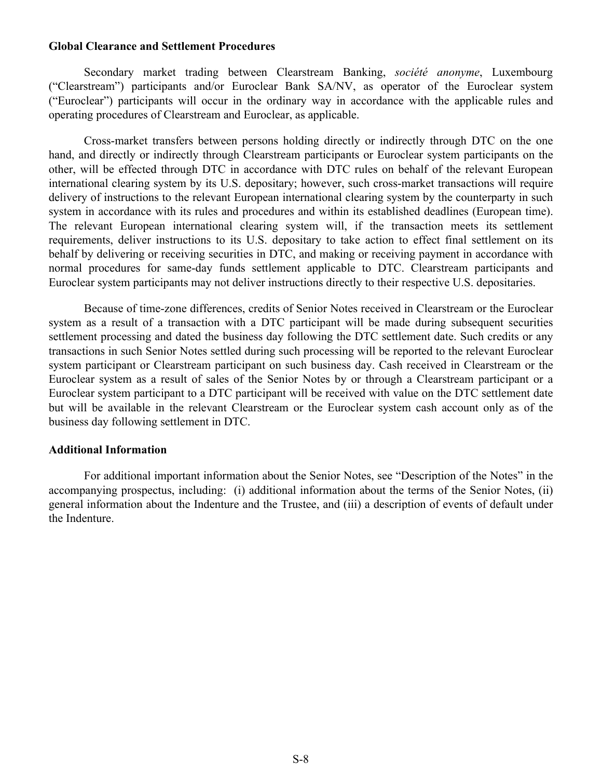### **Global Clearance and Settlement Procedures**

Secondary market trading between Clearstream Banking, *société anonyme*, Luxembourg ("Clearstream") participants and/or Euroclear Bank SA/NV, as operator of the Euroclear system ("Euroclear") participants will occur in the ordinary way in accordance with the applicable rules and operating procedures of Clearstream and Euroclear, as applicable.

Cross-market transfers between persons holding directly or indirectly through DTC on the one hand, and directly or indirectly through Clearstream participants or Euroclear system participants on the other, will be effected through DTC in accordance with DTC rules on behalf of the relevant European international clearing system by its U.S. depositary; however, such cross-market transactions will require delivery of instructions to the relevant European international clearing system by the counterparty in such system in accordance with its rules and procedures and within its established deadlines (European time). The relevant European international clearing system will, if the transaction meets its settlement requirements, deliver instructions to its U.S. depositary to take action to effect final settlement on its behalf by delivering or receiving securities in DTC, and making or receiving payment in accordance with normal procedures for same-day funds settlement applicable to DTC. Clearstream participants and Euroclear system participants may not deliver instructions directly to their respective U.S. depositaries.

Because of time-zone differences, credits of Senior Notes received in Clearstream or the Euroclear system as a result of a transaction with a DTC participant will be made during subsequent securities settlement processing and dated the business day following the DTC settlement date. Such credits or any transactions in such Senior Notes settled during such processing will be reported to the relevant Euroclear system participant or Clearstream participant on such business day. Cash received in Clearstream or the Euroclear system as a result of sales of the Senior Notes by or through a Clearstream participant or a Euroclear system participant to a DTC participant will be received with value on the DTC settlement date but will be available in the relevant Clearstream or the Euroclear system cash account only as of the business day following settlement in DTC.

### **Additional Information**

For additional important information about the Senior Notes, see "Description of the Notes" in the accompanying prospectus, including: (i) additional information about the terms of the Senior Notes, (ii) general information about the Indenture and the Trustee, and (iii) a description of events of default under the Indenture.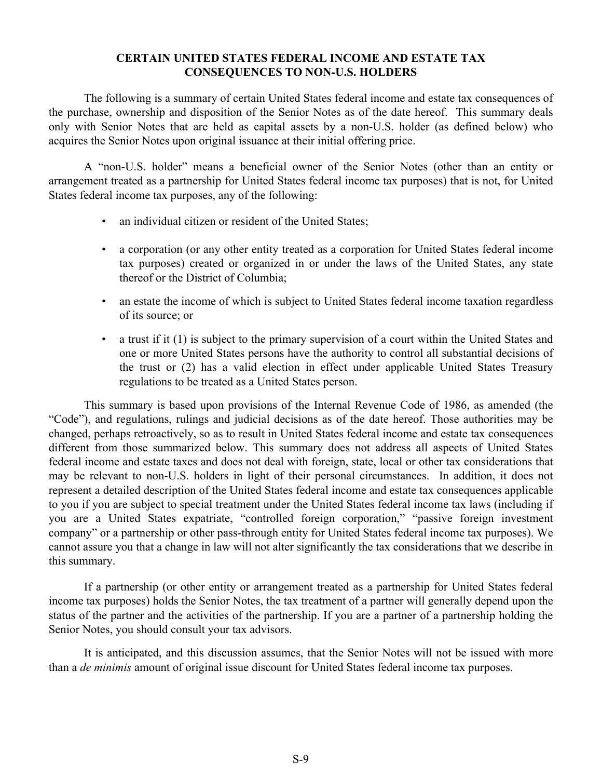### **CERTAIN UNITED STATES FEDERAL INCOME AND ESTATE TAX CONSEQUENCES TO NON-U.S. HOLDERS**

<span id="page-8-0"></span>The following is a summary of certain United States federal income and estate tax consequences of the purchase, ownership and disposition of the Senior Notes as of the date hereof. This summary deals only with Senior Notes that are held as capital assets by a non-U.S. holder (as defined below) who acquires the Senior Notes upon original issuance at their initial offering price.

A "non-U.S. holder" means a beneficial owner of the Senior Notes (other than an entity or arrangement treated as a partnership for United States federal income tax purposes) that is not, for United States federal income tax purposes, any of the following:

- an individual citizen or resident of the United States;
- a corporation (or any other entity treated as a corporation for United States federal income tax purposes) created or organized in or under the laws of the United States, any state thereof or the District of Columbia;
- an estate the income of which is subject to United States federal income taxation regardless of its source; or
- a trust if it (1) is subject to the primary supervision of a court within the United States and one or more United States persons have the authority to control all substantial decisions of the trust or (2) has a valid election in effect under applicable United States Treasury regulations to be treated as a United States person.

This summary is based upon provisions of the Internal Revenue Code of 1986, as amended (the "Code"), and regulations, rulings and judicial decisions as of the date hereof. Those authorities may be changed, perhaps retroactively, so as to result in United States federal income and estate tax consequences different from those summarized below. This summary does not address all aspects of United States federal income and estate taxes and does not deal with foreign, state, local or other tax considerations that may be relevant to non-U.S. holders in light of their personal circumstances. In addition, it does not represent a detailed description of the United States federal income and estate tax consequences applicable to you if you are subject to special treatment under the United States federal income tax laws (including if you are a United States expatriate, "controlled foreign corporation," "passive foreign investment company" or a partnership or other pass-through entity for United States federal income tax purposes). We cannot assure you that a change in law will not alter significantly the tax considerations that we describe in this summary.

If a partnership (or other entity or arrangement treated as a partnership for United States federal income tax purposes) holds the Senior Notes, the tax treatment of a partner will generally depend upon the status of the partner and the activities of the partnership. If you are a partner of a partnership holding the Senior Notes, you should consult your tax advisors.

It is anticipated, and this discussion assumes, that the Senior Notes will not be issued with more than a *de minimis* amount of original issue discount for United States federal income tax purposes.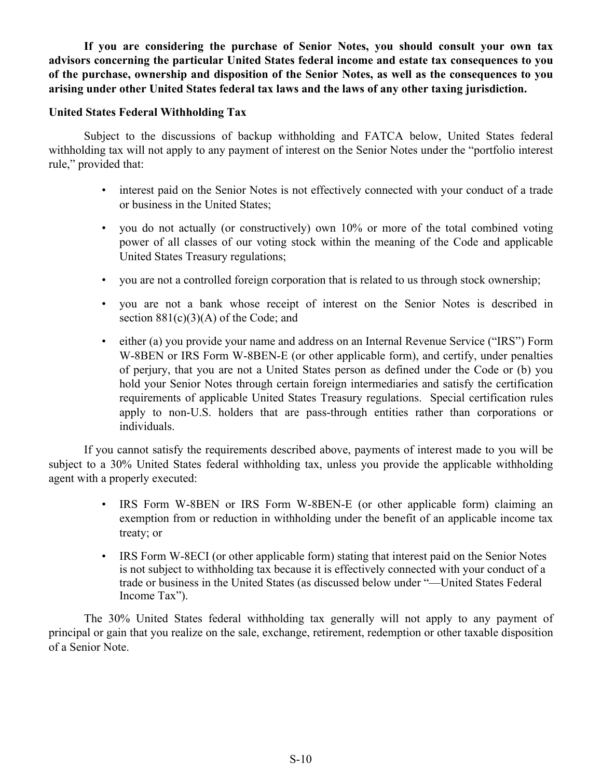**If you are considering the purchase of Senior Notes, you should consult your own tax advisors concerning the particular United States federal income and estate tax consequences to you of the purchase, ownership and disposition of the Senior Notes, as well as the consequences to you arising under other United States federal tax laws and the laws of any other taxing jurisdiction.**

### **United States Federal Withholding Tax**

Subject to the discussions of backup withholding and FATCA below, United States federal withholding tax will not apply to any payment of interest on the Senior Notes under the "portfolio interest rule," provided that:

- interest paid on the Senior Notes is not effectively connected with your conduct of a trade or business in the United States;
- you do not actually (or constructively) own 10% or more of the total combined voting power of all classes of our voting stock within the meaning of the Code and applicable United States Treasury regulations;
- you are not a controlled foreign corporation that is related to us through stock ownership;
- you are not a bank whose receipt of interest on the Senior Notes is described in section  $881(c)(3)(A)$  of the Code; and
- either (a) you provide your name and address on an Internal Revenue Service ("IRS") Form W-8BEN or IRS Form W-8BEN-E (or other applicable form), and certify, under penalties of perjury, that you are not a United States person as defined under the Code or (b) you hold your Senior Notes through certain foreign intermediaries and satisfy the certification requirements of applicable United States Treasury regulations. Special certification rules apply to non-U.S. holders that are pass-through entities rather than corporations or individuals.

If you cannot satisfy the requirements described above, payments of interest made to you will be subject to a 30% United States federal withholding tax, unless you provide the applicable withholding agent with a properly executed:

- IRS Form W-8BEN or IRS Form W-8BEN-E (or other applicable form) claiming an exemption from or reduction in withholding under the benefit of an applicable income tax treaty; or
- IRS Form W-8ECI (or other applicable form) stating that interest paid on the Senior Notes is not subject to withholding tax because it is effectively connected with your conduct of a trade or business in the United States (as discussed below under "—United States Federal Income Tax").

The 30% United States federal withholding tax generally will not apply to any payment of principal or gain that you realize on the sale, exchange, retirement, redemption or other taxable disposition of a Senior Note.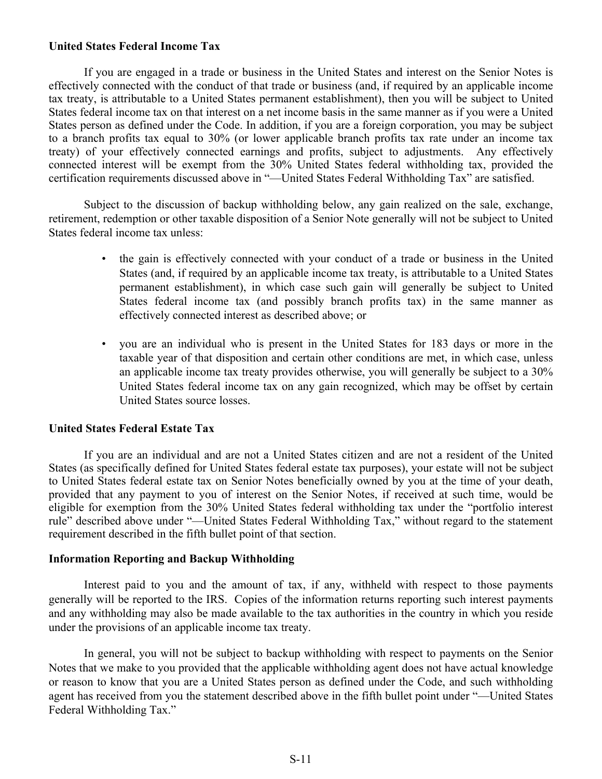### **United States Federal Income Tax**

If you are engaged in a trade or business in the United States and interest on the Senior Notes is effectively connected with the conduct of that trade or business (and, if required by an applicable income tax treaty, is attributable to a United States permanent establishment), then you will be subject to United States federal income tax on that interest on a net income basis in the same manner as if you were a United States person as defined under the Code. In addition, if you are a foreign corporation, you may be subject to a branch profits tax equal to 30% (or lower applicable branch profits tax rate under an income tax treaty) of your effectively connected earnings and profits, subject to adjustments. Any effectively connected interest will be exempt from the 30% United States federal withholding tax, provided the certification requirements discussed above in "—United States Federal Withholding Tax" are satisfied.

Subject to the discussion of backup withholding below, any gain realized on the sale, exchange, retirement, redemption or other taxable disposition of a Senior Note generally will not be subject to United States federal income tax unless:

- the gain is effectively connected with your conduct of a trade or business in the United States (and, if required by an applicable income tax treaty, is attributable to a United States permanent establishment), in which case such gain will generally be subject to United States federal income tax (and possibly branch profits tax) in the same manner as effectively connected interest as described above; or
- you are an individual who is present in the United States for 183 days or more in the taxable year of that disposition and certain other conditions are met, in which case, unless an applicable income tax treaty provides otherwise, you will generally be subject to a 30% United States federal income tax on any gain recognized, which may be offset by certain United States source losses.

### **United States Federal Estate Tax**

If you are an individual and are not a United States citizen and are not a resident of the United States (as specifically defined for United States federal estate tax purposes), your estate will not be subject to United States federal estate tax on Senior Notes beneficially owned by you at the time of your death, provided that any payment to you of interest on the Senior Notes, if received at such time, would be eligible for exemption from the 30% United States federal withholding tax under the "portfolio interest rule" described above under "—United States Federal Withholding Tax," without regard to the statement requirement described in the fifth bullet point of that section.

### **Information Reporting and Backup Withholding**

Interest paid to you and the amount of tax, if any, withheld with respect to those payments generally will be reported to the IRS. Copies of the information returns reporting such interest payments and any withholding may also be made available to the tax authorities in the country in which you reside under the provisions of an applicable income tax treaty.

In general, you will not be subject to backup withholding with respect to payments on the Senior Notes that we make to you provided that the applicable withholding agent does not have actual knowledge or reason to know that you are a United States person as defined under the Code, and such withholding agent has received from you the statement described above in the fifth bullet point under "—United States Federal Withholding Tax."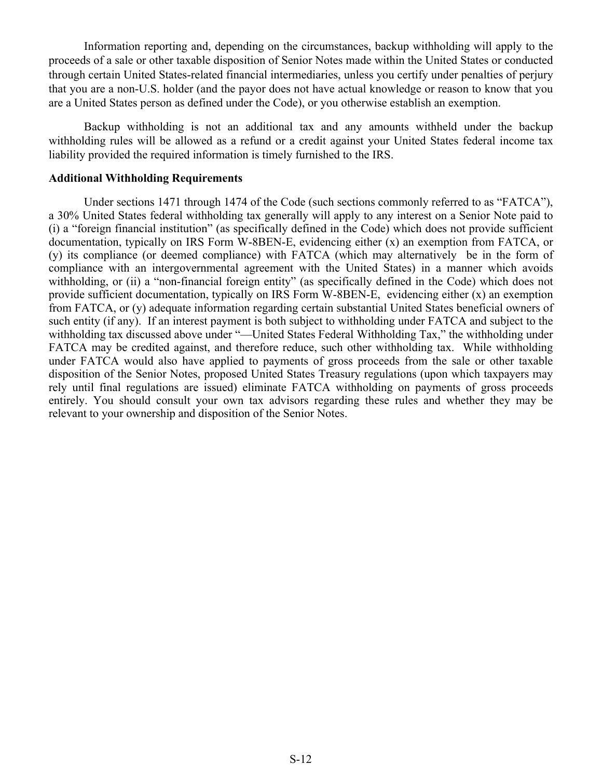Information reporting and, depending on the circumstances, backup withholding will apply to the proceeds of a sale or other taxable disposition of Senior Notes made within the United States or conducted through certain United States-related financial intermediaries, unless you certify under penalties of perjury that you are a non-U.S. holder (and the payor does not have actual knowledge or reason to know that you are a United States person as defined under the Code), or you otherwise establish an exemption.

Backup withholding is not an additional tax and any amounts withheld under the backup withholding rules will be allowed as a refund or a credit against your United States federal income tax liability provided the required information is timely furnished to the IRS.

### **Additional Withholding Requirements**

Under sections 1471 through 1474 of the Code (such sections commonly referred to as "FATCA"), a 30% United States federal withholding tax generally will apply to any interest on a Senior Note paid to (i) a "foreign financial institution" (as specifically defined in the Code) which does not provide sufficient documentation, typically on IRS Form W-8BEN-E, evidencing either (x) an exemption from FATCA, or (y) its compliance (or deemed compliance) with FATCA (which may alternatively be in the form of compliance with an intergovernmental agreement with the United States) in a manner which avoids withholding, or (ii) a "non-financial foreign entity" (as specifically defined in the Code) which does not provide sufficient documentation, typically on IRS Form W-8BEN-E, evidencing either (x) an exemption from FATCA, or (y) adequate information regarding certain substantial United States beneficial owners of such entity (if any). If an interest payment is both subject to withholding under FATCA and subject to the withholding tax discussed above under "—United States Federal Withholding Tax," the withholding under FATCA may be credited against, and therefore reduce, such other withholding tax. While withholding under FATCA would also have applied to payments of gross proceeds from the sale or other taxable disposition of the Senior Notes, proposed United States Treasury regulations (upon which taxpayers may rely until final regulations are issued) eliminate FATCA withholding on payments of gross proceeds entirely. You should consult your own tax advisors regarding these rules and whether they may be relevant to your ownership and disposition of the Senior Notes.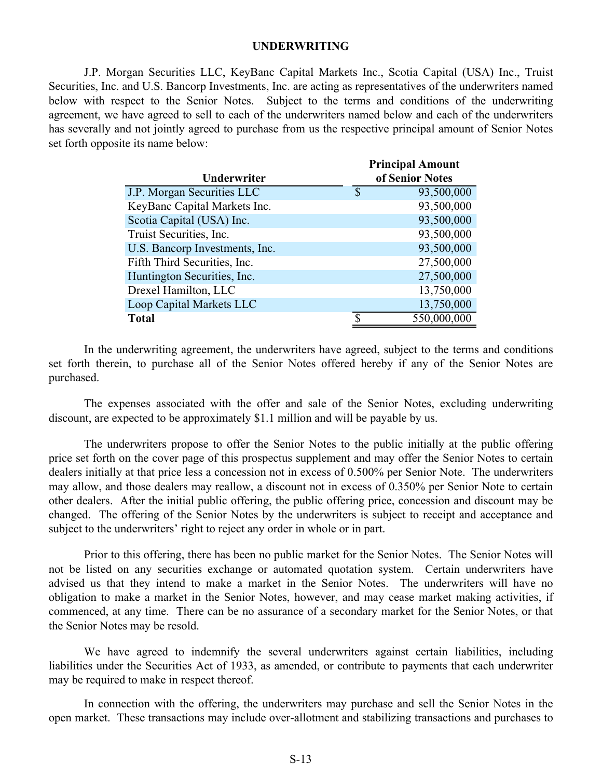### **UNDERWRITING**

<span id="page-12-0"></span> J.P. Morgan Securities LLC, KeyBanc Capital Markets Inc., Scotia Capital (USA) Inc., Truist Securities, Inc. and U.S. Bancorp Investments, Inc. are acting as representatives of the underwriters named below with respect to the Senior Notes. Subject to the terms and conditions of the underwriting agreement, we have agreed to sell to each of the underwriters named below and each of the underwriters has severally and not jointly agreed to purchase from us the respective principal amount of Senior Notes set forth opposite its name below:

| Underwriter                    | <b>Principal Amount</b><br>of Senior Notes |
|--------------------------------|--------------------------------------------|
| J.P. Morgan Securities LLC     | \$<br>93,500,000                           |
| KeyBanc Capital Markets Inc.   | 93,500,000                                 |
| Scotia Capital (USA) Inc.      | 93,500,000                                 |
| Truist Securities, Inc.        | 93,500,000                                 |
| U.S. Bancorp Investments, Inc. | 93,500,000                                 |
| Fifth Third Securities, Inc.   | 27,500,000                                 |
| Huntington Securities, Inc.    | 27,500,000                                 |
| Drexel Hamilton, LLC           | 13,750,000                                 |
| Loop Capital Markets LLC       | 13,750,000                                 |
| <b>Total</b>                   | 550,000,000                                |

In the underwriting agreement, the underwriters have agreed, subject to the terms and conditions set forth therein, to purchase all of the Senior Notes offered hereby if any of the Senior Notes are purchased.

The expenses associated with the offer and sale of the Senior Notes, excluding underwriting discount, are expected to be approximately \$1.1 million and will be payable by us.

The underwriters propose to offer the Senior Notes to the public initially at the public offering price set forth on the cover page of this prospectus supplement and may offer the Senior Notes to certain dealers initially at that price less a concession not in excess of 0.500% per Senior Note. The underwriters may allow, and those dealers may reallow, a discount not in excess of 0.350% per Senior Note to certain other dealers. After the initial public offering, the public offering price, concession and discount may be changed. The offering of the Senior Notes by the underwriters is subject to receipt and acceptance and subject to the underwriters' right to reject any order in whole or in part.

Prior to this offering, there has been no public market for the Senior Notes. The Senior Notes will not be listed on any securities exchange or automated quotation system. Certain underwriters have advised us that they intend to make a market in the Senior Notes. The underwriters will have no obligation to make a market in the Senior Notes, however, and may cease market making activities, if commenced, at any time. There can be no assurance of a secondary market for the Senior Notes, or that the Senior Notes may be resold.

We have agreed to indemnify the several underwriters against certain liabilities, including liabilities under the Securities Act of 1933, as amended, or contribute to payments that each underwriter may be required to make in respect thereof.

In connection with the offering, the underwriters may purchase and sell the Senior Notes in the open market. These transactions may include over-allotment and stabilizing transactions and purchases to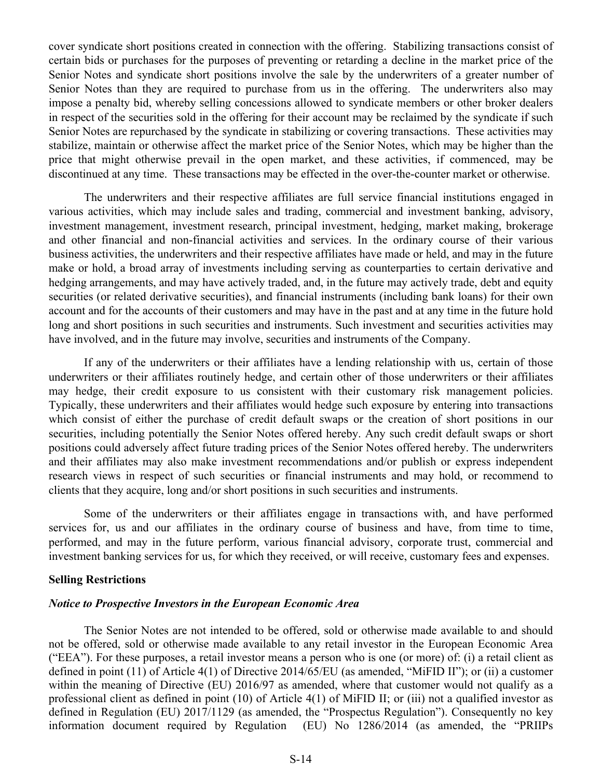cover syndicate short positions created in connection with the offering. Stabilizing transactions consist of certain bids or purchases for the purposes of preventing or retarding a decline in the market price of the Senior Notes and syndicate short positions involve the sale by the underwriters of a greater number of Senior Notes than they are required to purchase from us in the offering. The underwriters also may impose a penalty bid, whereby selling concessions allowed to syndicate members or other broker dealers in respect of the securities sold in the offering for their account may be reclaimed by the syndicate if such Senior Notes are repurchased by the syndicate in stabilizing or covering transactions. These activities may stabilize, maintain or otherwise affect the market price of the Senior Notes, which may be higher than the price that might otherwise prevail in the open market, and these activities, if commenced, may be discontinued at any time. These transactions may be effected in the over-the-counter market or otherwise.

The underwriters and their respective affiliates are full service financial institutions engaged in various activities, which may include sales and trading, commercial and investment banking, advisory, investment management, investment research, principal investment, hedging, market making, brokerage and other financial and non-financial activities and services. In the ordinary course of their various business activities, the underwriters and their respective affiliates have made or held, and may in the future make or hold, a broad array of investments including serving as counterparties to certain derivative and hedging arrangements, and may have actively traded, and, in the future may actively trade, debt and equity securities (or related derivative securities), and financial instruments (including bank loans) for their own account and for the accounts of their customers and may have in the past and at any time in the future hold long and short positions in such securities and instruments. Such investment and securities activities may have involved, and in the future may involve, securities and instruments of the Company.

If any of the underwriters or their affiliates have a lending relationship with us, certain of those underwriters or their affiliates routinely hedge, and certain other of those underwriters or their affiliates may hedge, their credit exposure to us consistent with their customary risk management policies. Typically, these underwriters and their affiliates would hedge such exposure by entering into transactions which consist of either the purchase of credit default swaps or the creation of short positions in our securities, including potentially the Senior Notes offered hereby. Any such credit default swaps or short positions could adversely affect future trading prices of the Senior Notes offered hereby. The underwriters and their affiliates may also make investment recommendations and/or publish or express independent research views in respect of such securities or financial instruments and may hold, or recommend to clients that they acquire, long and/or short positions in such securities and instruments.

Some of the underwriters or their affiliates engage in transactions with, and have performed services for, us and our affiliates in the ordinary course of business and have, from time to time, performed, and may in the future perform, various financial advisory, corporate trust, commercial and investment banking services for us, for which they received, or will receive, customary fees and expenses.

### **Selling Restrictions**

### *Notice to Prospective Investors in the European Economic Area*

The Senior Notes are not intended to be offered, sold or otherwise made available to and should not be offered, sold or otherwise made available to any retail investor in the European Economic Area ("EEA"). For these purposes, a retail investor means a person who is one (or more) of: (i) a retail client as defined in point (11) of Article 4(1) of Directive 2014/65/EU (as amended, "MiFID II"); or (ii) a customer within the meaning of Directive (EU) 2016/97 as amended, where that customer would not qualify as a professional client as defined in point (10) of Article 4(1) of MiFID II; or (iii) not a qualified investor as defined in Regulation (EU) 2017/1129 (as amended, the "Prospectus Regulation"). Consequently no key information document required by Regulation (EU) No 1286/2014 (as amended, the "PRIIPs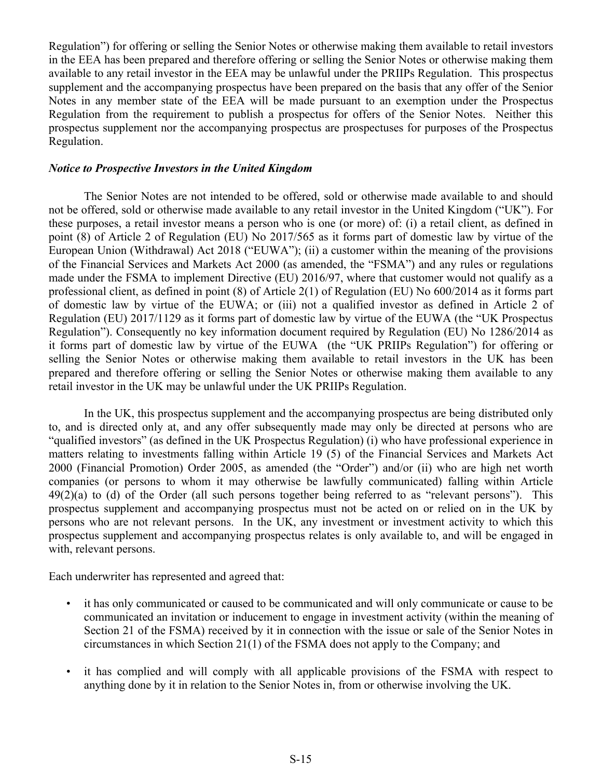Regulation") for offering or selling the Senior Notes or otherwise making them available to retail investors in the EEA has been prepared and therefore offering or selling the Senior Notes or otherwise making them available to any retail investor in the EEA may be unlawful under the PRIIPs Regulation. This prospectus supplement and the accompanying prospectus have been prepared on the basis that any offer of the Senior Notes in any member state of the EEA will be made pursuant to an exemption under the Prospectus Regulation from the requirement to publish a prospectus for offers of the Senior Notes. Neither this prospectus supplement nor the accompanying prospectus are prospectuses for purposes of the Prospectus Regulation.

### *Notice to Prospective Investors in the United Kingdom*

The Senior Notes are not intended to be offered, sold or otherwise made available to and should not be offered, sold or otherwise made available to any retail investor in the United Kingdom ("UK"). For these purposes, a retail investor means a person who is one (or more) of: (i) a retail client, as defined in point (8) of Article 2 of Regulation (EU) No 2017/565 as it forms part of domestic law by virtue of the European Union (Withdrawal) Act 2018 ("EUWA"); (ii) a customer within the meaning of the provisions of the Financial Services and Markets Act 2000 (as amended, the "FSMA") and any rules or regulations made under the FSMA to implement Directive (EU) 2016/97, where that customer would not qualify as a professional client, as defined in point (8) of Article 2(1) of Regulation (EU) No 600/2014 as it forms part of domestic law by virtue of the EUWA; or (iii) not a qualified investor as defined in Article 2 of Regulation (EU) 2017/1129 as it forms part of domestic law by virtue of the EUWA (the "UK Prospectus Regulation"). Consequently no key information document required by Regulation (EU) No 1286/2014 as it forms part of domestic law by virtue of the EUWA (the "UK PRIIPs Regulation") for offering or selling the Senior Notes or otherwise making them available to retail investors in the UK has been prepared and therefore offering or selling the Senior Notes or otherwise making them available to any retail investor in the UK may be unlawful under the UK PRIIPs Regulation.

In the UK, this prospectus supplement and the accompanying prospectus are being distributed only to, and is directed only at, and any offer subsequently made may only be directed at persons who are "qualified investors" (as defined in the UK Prospectus Regulation) (i) who have professional experience in matters relating to investments falling within Article 19 (5) of the Financial Services and Markets Act 2000 (Financial Promotion) Order 2005, as amended (the "Order") and/or (ii) who are high net worth companies (or persons to whom it may otherwise be lawfully communicated) falling within Article  $49(2)(a)$  to (d) of the Order (all such persons together being referred to as "relevant persons"). This prospectus supplement and accompanying prospectus must not be acted on or relied on in the UK by persons who are not relevant persons. In the UK, any investment or investment activity to which this prospectus supplement and accompanying prospectus relates is only available to, and will be engaged in with, relevant persons.

Each underwriter has represented and agreed that:

- it has only communicated or caused to be communicated and will only communicate or cause to be communicated an invitation or inducement to engage in investment activity (within the meaning of Section 21 of the FSMA) received by it in connection with the issue or sale of the Senior Notes in circumstances in which Section 21(1) of the FSMA does not apply to the Company; and
- it has complied and will comply with all applicable provisions of the FSMA with respect to anything done by it in relation to the Senior Notes in, from or otherwise involving the UK.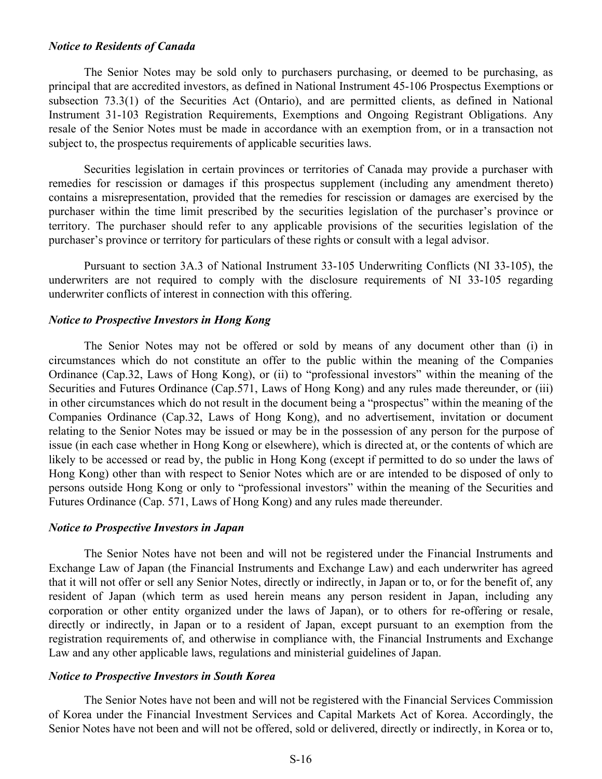### *Notice to Residents of Canada*

The Senior Notes may be sold only to purchasers purchasing, or deemed to be purchasing, as principal that are accredited investors, as defined in National Instrument 45-106 Prospectus Exemptions or subsection 73.3(1) of the Securities Act (Ontario), and are permitted clients, as defined in National Instrument 31-103 Registration Requirements, Exemptions and Ongoing Registrant Obligations. Any resale of the Senior Notes must be made in accordance with an exemption from, or in a transaction not subject to, the prospectus requirements of applicable securities laws.

Securities legislation in certain provinces or territories of Canada may provide a purchaser with remedies for rescission or damages if this prospectus supplement (including any amendment thereto) contains a misrepresentation, provided that the remedies for rescission or damages are exercised by the purchaser within the time limit prescribed by the securities legislation of the purchaser's province or territory. The purchaser should refer to any applicable provisions of the securities legislation of the purchaser's province or territory for particulars of these rights or consult with a legal advisor.

Pursuant to section 3A.3 of National Instrument 33-105 Underwriting Conflicts (NI 33-105), the underwriters are not required to comply with the disclosure requirements of NI 33-105 regarding underwriter conflicts of interest in connection with this offering.

### *Notice to Prospective Investors in Hong Kong*

The Senior Notes may not be offered or sold by means of any document other than (i) in circumstances which do not constitute an offer to the public within the meaning of the Companies Ordinance (Cap.32, Laws of Hong Kong), or (ii) to "professional investors" within the meaning of the Securities and Futures Ordinance (Cap.571, Laws of Hong Kong) and any rules made thereunder, or (iii) in other circumstances which do not result in the document being a "prospectus" within the meaning of the Companies Ordinance (Cap.32, Laws of Hong Kong), and no advertisement, invitation or document relating to the Senior Notes may be issued or may be in the possession of any person for the purpose of issue (in each case whether in Hong Kong or elsewhere), which is directed at, or the contents of which are likely to be accessed or read by, the public in Hong Kong (except if permitted to do so under the laws of Hong Kong) other than with respect to Senior Notes which are or are intended to be disposed of only to persons outside Hong Kong or only to "professional investors" within the meaning of the Securities and Futures Ordinance (Cap. 571, Laws of Hong Kong) and any rules made thereunder.

### *Notice to Prospective Investors in Japan*

The Senior Notes have not been and will not be registered under the Financial Instruments and Exchange Law of Japan (the Financial Instruments and Exchange Law) and each underwriter has agreed that it will not offer or sell any Senior Notes, directly or indirectly, in Japan or to, or for the benefit of, any resident of Japan (which term as used herein means any person resident in Japan, including any corporation or other entity organized under the laws of Japan), or to others for re-offering or resale, directly or indirectly, in Japan or to a resident of Japan, except pursuant to an exemption from the registration requirements of, and otherwise in compliance with, the Financial Instruments and Exchange Law and any other applicable laws, regulations and ministerial guidelines of Japan.

### *Notice to Prospective Investors in South Korea*

The Senior Notes have not been and will not be registered with the Financial Services Commission of Korea under the Financial Investment Services and Capital Markets Act of Korea. Accordingly, the Senior Notes have not been and will not be offered, sold or delivered, directly or indirectly, in Korea or to,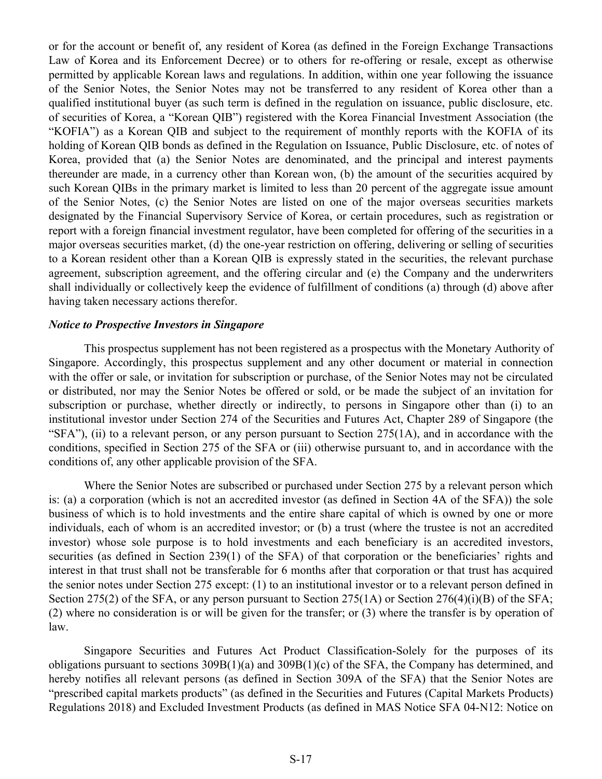or for the account or benefit of, any resident of Korea (as defined in the Foreign Exchange Transactions Law of Korea and its Enforcement Decree) or to others for re-offering or resale, except as otherwise permitted by applicable Korean laws and regulations. In addition, within one year following the issuance of the Senior Notes, the Senior Notes may not be transferred to any resident of Korea other than a qualified institutional buyer (as such term is defined in the regulation on issuance, public disclosure, etc. of securities of Korea, a "Korean QIB") registered with the Korea Financial Investment Association (the "KOFIA") as a Korean QIB and subject to the requirement of monthly reports with the KOFIA of its holding of Korean QIB bonds as defined in the Regulation on Issuance, Public Disclosure, etc. of notes of Korea, provided that (a) the Senior Notes are denominated, and the principal and interest payments thereunder are made, in a currency other than Korean won, (b) the amount of the securities acquired by such Korean QIBs in the primary market is limited to less than 20 percent of the aggregate issue amount of the Senior Notes, (c) the Senior Notes are listed on one of the major overseas securities markets designated by the Financial Supervisory Service of Korea, or certain procedures, such as registration or report with a foreign financial investment regulator, have been completed for offering of the securities in a major overseas securities market, (d) the one-year restriction on offering, delivering or selling of securities to a Korean resident other than a Korean QIB is expressly stated in the securities, the relevant purchase agreement, subscription agreement, and the offering circular and (e) the Company and the underwriters shall individually or collectively keep the evidence of fulfillment of conditions (a) through (d) above after having taken necessary actions therefor.

### *Notice to Prospective Investors in Singapore*

This prospectus supplement has not been registered as a prospectus with the Monetary Authority of Singapore. Accordingly, this prospectus supplement and any other document or material in connection with the offer or sale, or invitation for subscription or purchase, of the Senior Notes may not be circulated or distributed, nor may the Senior Notes be offered or sold, or be made the subject of an invitation for subscription or purchase, whether directly or indirectly, to persons in Singapore other than (i) to an institutional investor under Section 274 of the Securities and Futures Act, Chapter 289 of Singapore (the "SFA"), (ii) to a relevant person, or any person pursuant to Section  $275(1A)$ , and in accordance with the conditions, specified in Section 275 of the SFA or (iii) otherwise pursuant to, and in accordance with the conditions of, any other applicable provision of the SFA.

Where the Senior Notes are subscribed or purchased under Section 275 by a relevant person which is: (a) a corporation (which is not an accredited investor (as defined in Section 4A of the SFA)) the sole business of which is to hold investments and the entire share capital of which is owned by one or more individuals, each of whom is an accredited investor; or (b) a trust (where the trustee is not an accredited investor) whose sole purpose is to hold investments and each beneficiary is an accredited investors, securities (as defined in Section 239(1) of the SFA) of that corporation or the beneficiaries' rights and interest in that trust shall not be transferable for 6 months after that corporation or that trust has acquired the senior notes under Section 275 except: (1) to an institutional investor or to a relevant person defined in Section 275(2) of the SFA, or any person pursuant to Section 275(1A) or Section 276(4)(i)(B) of the SFA; (2) where no consideration is or will be given for the transfer; or (3) where the transfer is by operation of law.

Singapore Securities and Futures Act Product Classification-Solely for the purposes of its obligations pursuant to sections 309B(1)(a) and 309B(1)(c) of the SFA, the Company has determined, and hereby notifies all relevant persons (as defined in Section 309A of the SFA) that the Senior Notes are "prescribed capital markets products" (as defined in the Securities and Futures (Capital Markets Products) Regulations 2018) and Excluded Investment Products (as defined in MAS Notice SFA 04-N12: Notice on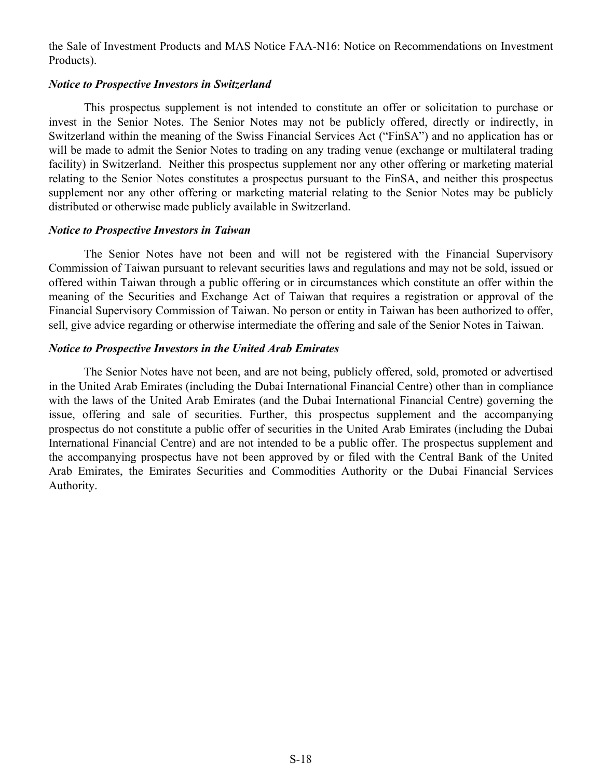the Sale of Investment Products and MAS Notice FAA-N16: Notice on Recommendations on Investment Products).

### *Notice to Prospective Investors in Switzerland*

This prospectus supplement is not intended to constitute an offer or solicitation to purchase or invest in the Senior Notes. The Senior Notes may not be publicly offered, directly or indirectly, in Switzerland within the meaning of the Swiss Financial Services Act ("FinSA") and no application has or will be made to admit the Senior Notes to trading on any trading venue (exchange or multilateral trading facility) in Switzerland. Neither this prospectus supplement nor any other offering or marketing material relating to the Senior Notes constitutes a prospectus pursuant to the FinSA, and neither this prospectus supplement nor any other offering or marketing material relating to the Senior Notes may be publicly distributed or otherwise made publicly available in Switzerland.

### *Notice to Prospective Investors in Taiwan*

The Senior Notes have not been and will not be registered with the Financial Supervisory Commission of Taiwan pursuant to relevant securities laws and regulations and may not be sold, issued or offered within Taiwan through a public offering or in circumstances which constitute an offer within the meaning of the Securities and Exchange Act of Taiwan that requires a registration or approval of the Financial Supervisory Commission of Taiwan. No person or entity in Taiwan has been authorized to offer, sell, give advice regarding or otherwise intermediate the offering and sale of the Senior Notes in Taiwan.

### *Notice to Prospective Investors in the United Arab Emirates*

The Senior Notes have not been, and are not being, publicly offered, sold, promoted or advertised in the United Arab Emirates (including the Dubai International Financial Centre) other than in compliance with the laws of the United Arab Emirates (and the Dubai International Financial Centre) governing the issue, offering and sale of securities. Further, this prospectus supplement and the accompanying prospectus do not constitute a public offer of securities in the United Arab Emirates (including the Dubai International Financial Centre) and are not intended to be a public offer. The prospectus supplement and the accompanying prospectus have not been approved by or filed with the Central Bank of the United Arab Emirates, the Emirates Securities and Commodities Authority or the Dubai Financial Services Authority.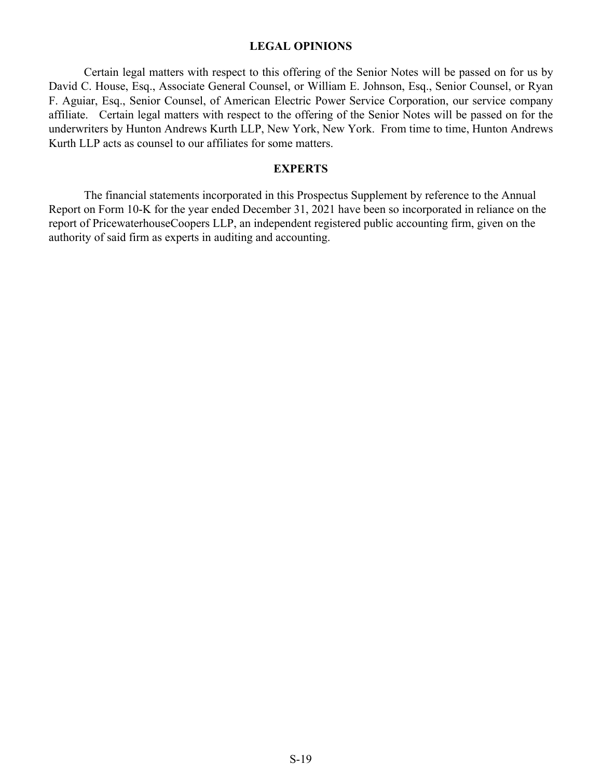### **LEGAL OPINIONS**

<span id="page-18-0"></span>Certain legal matters with respect to this offering of the Senior Notes will be passed on for us by David C. House, Esq., Associate General Counsel, or William E. Johnson, Esq., Senior Counsel, or Ryan F. Aguiar, Esq., Senior Counsel, of American Electric Power Service Corporation, our service company affiliate. Certain legal matters with respect to the offering of the Senior Notes will be passed on for the underwriters by Hunton Andrews Kurth LLP, New York, New York. From time to time, Hunton Andrews Kurth LLP acts as counsel to our affiliates for some matters.

### **EXPERTS**

The financial statements incorporated in this Prospectus Supplement by reference to the Annual Report on Form 10-K for the year ended December 31, 2021 have been so incorporated in reliance on the report of PricewaterhouseCoopers LLP, an independent registered public accounting firm, given on the authority of said firm as experts in auditing and accounting.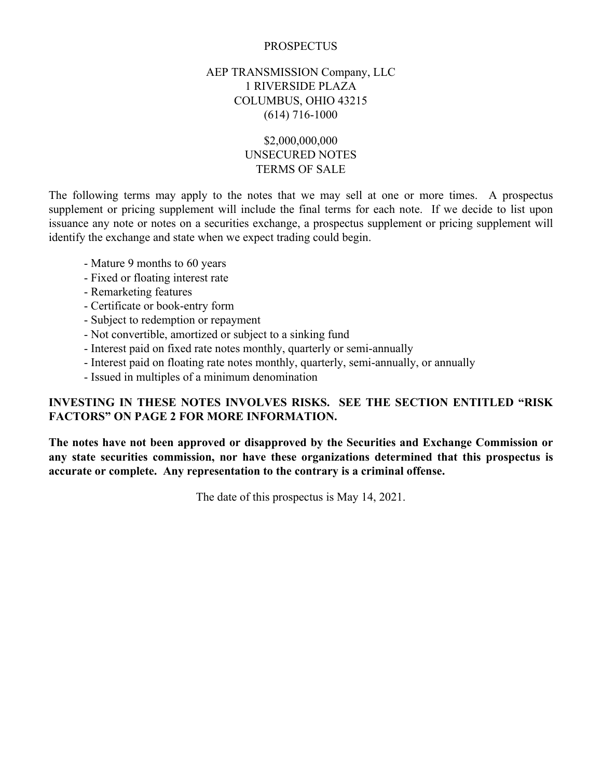### **PROSPECTUS**

### AEP TRANSMISSION Company, LLC 1 RIVERSIDE PLAZA COLUMBUS, OHIO 43215 (614) 716-1000

### \$2,000,000,000 UNSECURED NOTES TERMS OF SALE

The following terms may apply to the notes that we may sell at one or more times. A prospectus supplement or pricing supplement will include the final terms for each note. If we decide to list upon issuance any note or notes on a securities exchange, a prospectus supplement or pricing supplement will identify the exchange and state when we expect trading could begin.

- Mature 9 months to 60 years
- Fixed or floating interest rate
- Remarketing features
- Certificate or book-entry form
- Subject to redemption or repayment
- Not convertible, amortized or subject to a sinking fund
- Interest paid on fixed rate notes monthly, quarterly or semi-annually
- Interest paid on floating rate notes monthly, quarterly, semi-annually, or annually
- Issued in multiples of a minimum denomination

### **INVESTING IN THESE NOTES INVOLVES RISKS. SEE THE SECTION ENTITLED "RISK FACTORS" ON PAGE 2 FOR MORE INFORMATION.**

**The notes have not been approved or disapproved by the Securities and Exchange Commission or any state securities commission, nor have these organizations determined that this prospectus is accurate or complete. Any representation to the contrary is a criminal offense.**

The date of this prospectus is May 14, 2021.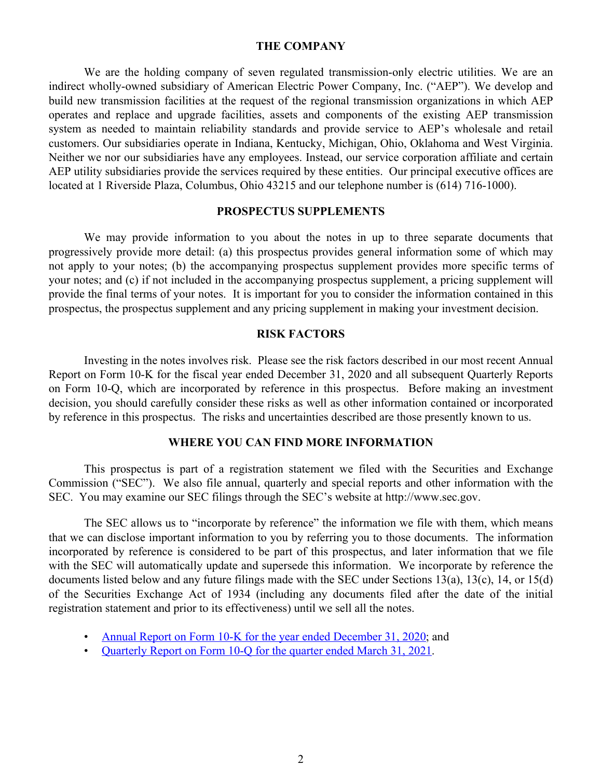#### **THE COMPANY**

We are the holding company of seven regulated transmission-only electric utilities. We are an indirect wholly-owned subsidiary of American Electric Power Company, Inc. ("AEP"). We develop and build new transmission facilities at the request of the regional transmission organizations in which AEP operates and replace and upgrade facilities, assets and components of the existing AEP transmission system as needed to maintain reliability standards and provide service to AEP's wholesale and retail customers. Our subsidiaries operate in Indiana, Kentucky, Michigan, Ohio, Oklahoma and West Virginia. Neither we nor our subsidiaries have any employees. Instead, our service corporation affiliate and certain AEP utility subsidiaries provide the services required by these entities. Our principal executive offices are located at 1 Riverside Plaza, Columbus, Ohio 43215 and our telephone number is (614) 716-1000).

### **PROSPECTUS SUPPLEMENTS**

We may provide information to you about the notes in up to three separate documents that progressively provide more detail: (a) this prospectus provides general information some of which may not apply to your notes; (b) the accompanying prospectus supplement provides more specific terms of your notes; and (c) if not included in the accompanying prospectus supplement, a pricing supplement will provide the final terms of your notes. It is important for you to consider the information contained in this prospectus, the prospectus supplement and any pricing supplement in making your investment decision.

### **RISK FACTORS**

Investing in the notes involves risk. Please see the risk factors described in our most recent Annual Report on Form 10-K for the fiscal year ended December 31, 2020 and all subsequent Quarterly Reports on Form 10-Q, which are incorporated by reference in this prospectus. Before making an investment decision, you should carefully consider these risks as well as other information contained or incorporated by reference in this prospectus. The risks and uncertainties described are those presently known to us.

### **WHERE YOU CAN FIND MORE INFORMATION**

This prospectus is part of a registration statement we filed with the Securities and Exchange Commission ("SEC"). We also file annual, quarterly and special reports and other information with the SEC. You may examine our SEC filings through the SEC's website at http://www.sec.gov.

The SEC allows us to "incorporate by reference" the information we file with them, which means that we can disclose important information to you by referring you to those documents. The information incorporated by reference is considered to be part of this prospectus, and later information that we file with the SEC will automatically update and supersede this information. We incorporate by reference the documents listed below and any future filings made with the SEC under Sections 13(a), 13(c), 14, or 15(d) of the Securities Exchange Act of 1934 (including any documents filed after the date of the initial registration statement and prior to its effectiveness) until we sell all the notes.

- [Annual Report on Form 10-K for the year ended December 31, 2020](https://www.sec.gov/ix?doc=/Archives/edgar/data/1702494/000000490421000010/aep-20201231.htm); and
- [Quarterly Report on Form 10-Q for the quarter ended March 31, 2021](https://www.sec.gov/ix?doc=/Archives/edgar/data/1702494/000000490421000033/aep-20210331.htm).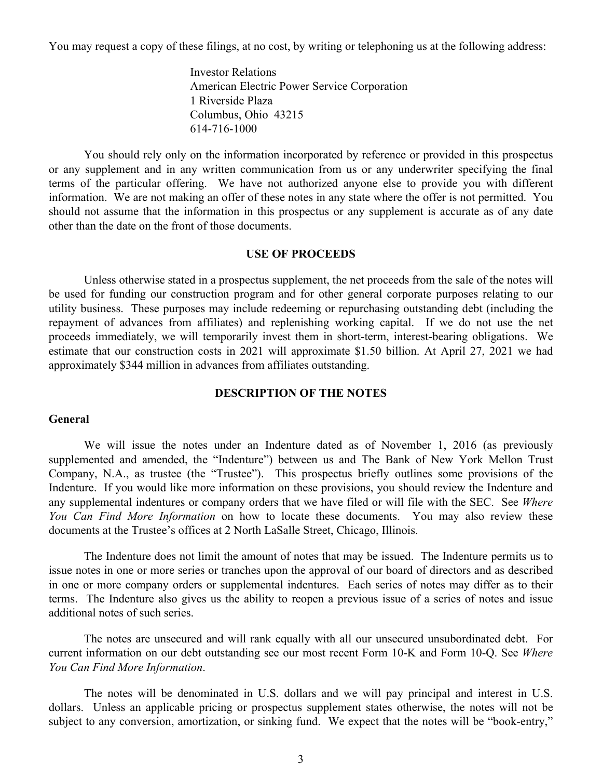You may request a copy of these filings, at no cost, by writing or telephoning us at the following address:

Investor Relations American Electric Power Service Corporation 1 Riverside Plaza Columbus, Ohio 43215 614-716-1000

You should rely only on the information incorporated by reference or provided in this prospectus or any supplement and in any written communication from us or any underwriter specifying the final terms of the particular offering. We have not authorized anyone else to provide you with different information. We are not making an offer of these notes in any state where the offer is not permitted. You should not assume that the information in this prospectus or any supplement is accurate as of any date other than the date on the front of those documents.

### **USE OF PROCEEDS**

Unless otherwise stated in a prospectus supplement, the net proceeds from the sale of the notes will be used for funding our construction program and for other general corporate purposes relating to our utility business. These purposes may include redeeming or repurchasing outstanding debt (including the repayment of advances from affiliates) and replenishing working capital. If we do not use the net proceeds immediately, we will temporarily invest them in short-term, interest-bearing obligations. We estimate that our construction costs in 2021 will approximate \$1.50 billion. At April 27, 2021 we had approximately \$344 million in advances from affiliates outstanding.

### **DESCRIPTION OF THE NOTES**

### **General**

We will issue the notes under an Indenture dated as of November 1, 2016 (as previously supplemented and amended, the "Indenture") between us and The Bank of New York Mellon Trust Company, N.A., as trustee (the "Trustee"). This prospectus briefly outlines some provisions of the Indenture. If you would like more information on these provisions, you should review the Indenture and any supplemental indentures or company orders that we have filed or will file with the SEC. See *Where You Can Find More Information* on how to locate these documents. You may also review these documents at the Trustee's offices at 2 North LaSalle Street, Chicago, Illinois.

The Indenture does not limit the amount of notes that may be issued. The Indenture permits us to issue notes in one or more series or tranches upon the approval of our board of directors and as described in one or more company orders or supplemental indentures. Each series of notes may differ as to their terms. The Indenture also gives us the ability to reopen a previous issue of a series of notes and issue additional notes of such series.

The notes are unsecured and will rank equally with all our unsecured unsubordinated debt. For current information on our debt outstanding see our most recent Form 10-K and Form 10-Q. See *Where You Can Find More Information*.

The notes will be denominated in U.S. dollars and we will pay principal and interest in U.S. dollars. Unless an applicable pricing or prospectus supplement states otherwise, the notes will not be subject to any conversion, amortization, or sinking fund. We expect that the notes will be "book-entry,"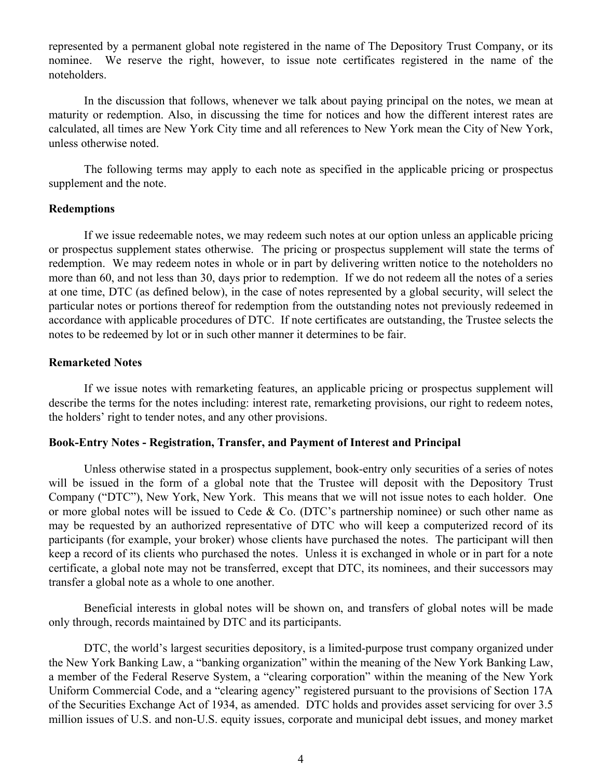represented by a permanent global note registered in the name of The Depository Trust Company, or its nominee. We reserve the right, however, to issue note certificates registered in the name of the noteholders.

In the discussion that follows, whenever we talk about paying principal on the notes, we mean at maturity or redemption. Also, in discussing the time for notices and how the different interest rates are calculated, all times are New York City time and all references to New York mean the City of New York, unless otherwise noted.

The following terms may apply to each note as specified in the applicable pricing or prospectus supplement and the note.

### **Redemptions**

If we issue redeemable notes, we may redeem such notes at our option unless an applicable pricing or prospectus supplement states otherwise. The pricing or prospectus supplement will state the terms of redemption. We may redeem notes in whole or in part by delivering written notice to the noteholders no more than 60, and not less than 30, days prior to redemption. If we do not redeem all the notes of a series at one time, DTC (as defined below), in the case of notes represented by a global security, will select the particular notes or portions thereof for redemption from the outstanding notes not previously redeemed in accordance with applicable procedures of DTC. If note certificates are outstanding, the Trustee selects the notes to be redeemed by lot or in such other manner it determines to be fair.

### **Remarketed Notes**

If we issue notes with remarketing features, an applicable pricing or prospectus supplement will describe the terms for the notes including: interest rate, remarketing provisions, our right to redeem notes, the holders' right to tender notes, and any other provisions.

### **Book-Entry Notes - Registration, Transfer, and Payment of Interest and Principal**

Unless otherwise stated in a prospectus supplement, book-entry only securities of a series of notes will be issued in the form of a global note that the Trustee will deposit with the Depository Trust Company ("DTC"), New York, New York. This means that we will not issue notes to each holder. One or more global notes will be issued to Cede & Co. (DTC's partnership nominee) or such other name as may be requested by an authorized representative of DTC who will keep a computerized record of its participants (for example, your broker) whose clients have purchased the notes. The participant will then keep a record of its clients who purchased the notes. Unless it is exchanged in whole or in part for a note certificate, a global note may not be transferred, except that DTC, its nominees, and their successors may transfer a global note as a whole to one another.

Beneficial interests in global notes will be shown on, and transfers of global notes will be made only through, records maintained by DTC and its participants.

DTC, the world's largest securities depository, is a limited-purpose trust company organized under the New York Banking Law, a "banking organization" within the meaning of the New York Banking Law, a member of the Federal Reserve System, a "clearing corporation" within the meaning of the New York Uniform Commercial Code, and a "clearing agency" registered pursuant to the provisions of Section 17A of the Securities Exchange Act of 1934, as amended. DTC holds and provides asset servicing for over 3.5 million issues of U.S. and non-U.S. equity issues, corporate and municipal debt issues, and money market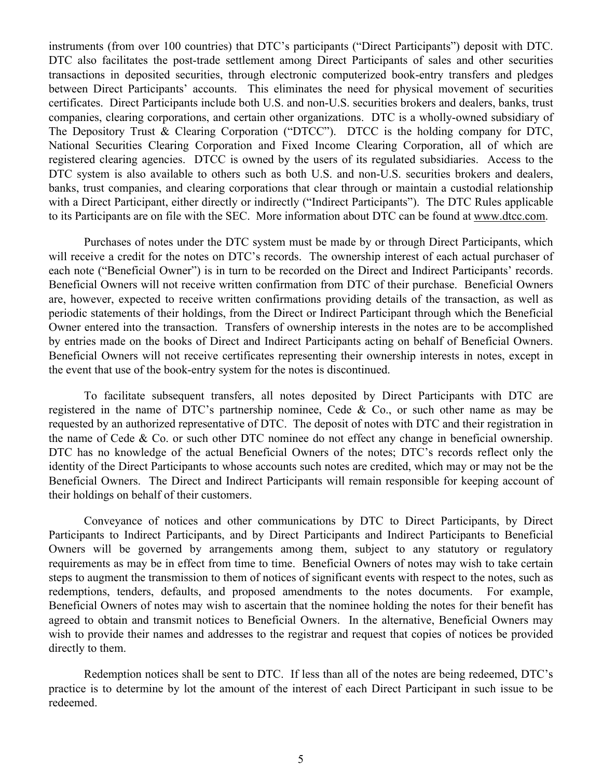instruments (from over 100 countries) that DTC's participants ("Direct Participants") deposit with DTC. DTC also facilitates the post-trade settlement among Direct Participants of sales and other securities transactions in deposited securities, through electronic computerized book-entry transfers and pledges between Direct Participants' accounts. This eliminates the need for physical movement of securities certificates. Direct Participants include both U.S. and non-U.S. securities brokers and dealers, banks, trust companies, clearing corporations, and certain other organizations. DTC is a wholly-owned subsidiary of The Depository Trust & Clearing Corporation ("DTCC"). DTCC is the holding company for DTC, National Securities Clearing Corporation and Fixed Income Clearing Corporation, all of which are registered clearing agencies. DTCC is owned by the users of its regulated subsidiaries. Access to the DTC system is also available to others such as both U.S. and non-U.S. securities brokers and dealers, banks, trust companies, and clearing corporations that clear through or maintain a custodial relationship with a Direct Participant, either directly or indirectly ("Indirect Participants"). The DTC Rules applicable to its Participants are on file with the SEC. More information about DTC can be found at www.dtcc.com.

Purchases of notes under the DTC system must be made by or through Direct Participants, which will receive a credit for the notes on DTC's records. The ownership interest of each actual purchaser of each note ("Beneficial Owner") is in turn to be recorded on the Direct and Indirect Participants' records. Beneficial Owners will not receive written confirmation from DTC of their purchase. Beneficial Owners are, however, expected to receive written confirmations providing details of the transaction, as well as periodic statements of their holdings, from the Direct or Indirect Participant through which the Beneficial Owner entered into the transaction. Transfers of ownership interests in the notes are to be accomplished by entries made on the books of Direct and Indirect Participants acting on behalf of Beneficial Owners. Beneficial Owners will not receive certificates representing their ownership interests in notes, except in the event that use of the book-entry system for the notes is discontinued.

To facilitate subsequent transfers, all notes deposited by Direct Participants with DTC are registered in the name of DTC's partnership nominee, Cede & Co., or such other name as may be requested by an authorized representative of DTC. The deposit of notes with DTC and their registration in the name of Cede & Co. or such other DTC nominee do not effect any change in beneficial ownership. DTC has no knowledge of the actual Beneficial Owners of the notes; DTC's records reflect only the identity of the Direct Participants to whose accounts such notes are credited, which may or may not be the Beneficial Owners. The Direct and Indirect Participants will remain responsible for keeping account of their holdings on behalf of their customers.

Conveyance of notices and other communications by DTC to Direct Participants, by Direct Participants to Indirect Participants, and by Direct Participants and Indirect Participants to Beneficial Owners will be governed by arrangements among them, subject to any statutory or regulatory requirements as may be in effect from time to time. Beneficial Owners of notes may wish to take certain steps to augment the transmission to them of notices of significant events with respect to the notes, such as redemptions, tenders, defaults, and proposed amendments to the notes documents. For example, Beneficial Owners of notes may wish to ascertain that the nominee holding the notes for their benefit has agreed to obtain and transmit notices to Beneficial Owners. In the alternative, Beneficial Owners may wish to provide their names and addresses to the registrar and request that copies of notices be provided directly to them.

Redemption notices shall be sent to DTC. If less than all of the notes are being redeemed, DTC's practice is to determine by lot the amount of the interest of each Direct Participant in such issue to be redeemed.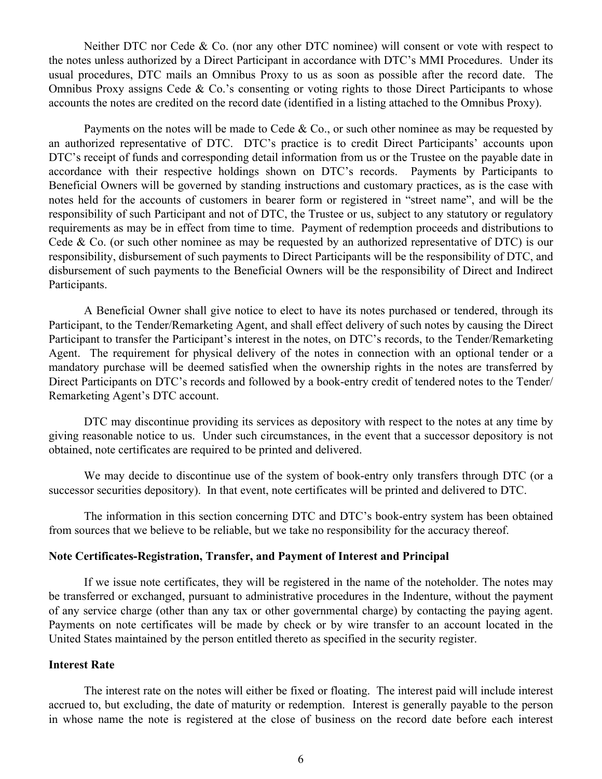Neither DTC nor Cede & Co. (nor any other DTC nominee) will consent or vote with respect to the notes unless authorized by a Direct Participant in accordance with DTC's MMI Procedures. Under its usual procedures, DTC mails an Omnibus Proxy to us as soon as possible after the record date. The Omnibus Proxy assigns Cede  $\&$  Co.'s consenting or voting rights to those Direct Participants to whose accounts the notes are credited on the record date (identified in a listing attached to the Omnibus Proxy).

Payments on the notes will be made to Cede & Co., or such other nominee as may be requested by an authorized representative of DTC. DTC's practice is to credit Direct Participants' accounts upon DTC's receipt of funds and corresponding detail information from us or the Trustee on the payable date in accordance with their respective holdings shown on DTC's records. Payments by Participants to Beneficial Owners will be governed by standing instructions and customary practices, as is the case with notes held for the accounts of customers in bearer form or registered in "street name", and will be the responsibility of such Participant and not of DTC, the Trustee or us, subject to any statutory or regulatory requirements as may be in effect from time to time. Payment of redemption proceeds and distributions to Cede & Co. (or such other nominee as may be requested by an authorized representative of DTC) is our responsibility, disbursement of such payments to Direct Participants will be the responsibility of DTC, and disbursement of such payments to the Beneficial Owners will be the responsibility of Direct and Indirect Participants.

A Beneficial Owner shall give notice to elect to have its notes purchased or tendered, through its Participant, to the Tender/Remarketing Agent, and shall effect delivery of such notes by causing the Direct Participant to transfer the Participant's interest in the notes, on DTC's records, to the Tender/Remarketing Agent. The requirement for physical delivery of the notes in connection with an optional tender or a mandatory purchase will be deemed satisfied when the ownership rights in the notes are transferred by Direct Participants on DTC's records and followed by a book-entry credit of tendered notes to the Tender/ Remarketing Agent's DTC account.

DTC may discontinue providing its services as depository with respect to the notes at any time by giving reasonable notice to us. Under such circumstances, in the event that a successor depository is not obtained, note certificates are required to be printed and delivered.

We may decide to discontinue use of the system of book-entry only transfers through DTC (or a successor securities depository). In that event, note certificates will be printed and delivered to DTC.

The information in this section concerning DTC and DTC's book-entry system has been obtained from sources that we believe to be reliable, but we take no responsibility for the accuracy thereof.

### **Note Certificates-Registration, Transfer, and Payment of Interest and Principal**

If we issue note certificates, they will be registered in the name of the noteholder. The notes may be transferred or exchanged, pursuant to administrative procedures in the Indenture, without the payment of any service charge (other than any tax or other governmental charge) by contacting the paying agent. Payments on note certificates will be made by check or by wire transfer to an account located in the United States maintained by the person entitled thereto as specified in the security register.

### **Interest Rate**

The interest rate on the notes will either be fixed or floating. The interest paid will include interest accrued to, but excluding, the date of maturity or redemption. Interest is generally payable to the person in whose name the note is registered at the close of business on the record date before each interest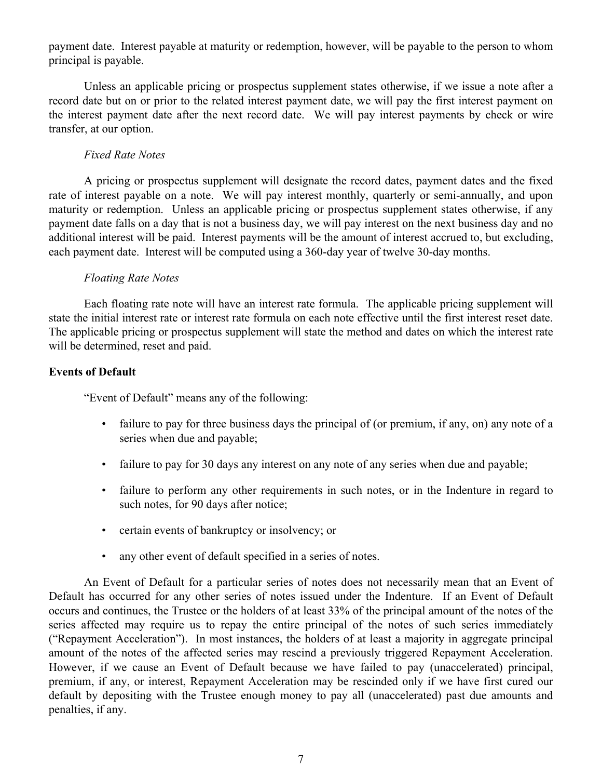payment date. Interest payable at maturity or redemption, however, will be payable to the person to whom principal is payable.

Unless an applicable pricing or prospectus supplement states otherwise, if we issue a note after a record date but on or prior to the related interest payment date, we will pay the first interest payment on the interest payment date after the next record date. We will pay interest payments by check or wire transfer, at our option.

### *Fixed Rate Notes*

A pricing or prospectus supplement will designate the record dates, payment dates and the fixed rate of interest payable on a note. We will pay interest monthly, quarterly or semi-annually, and upon maturity or redemption. Unless an applicable pricing or prospectus supplement states otherwise, if any payment date falls on a day that is not a business day, we will pay interest on the next business day and no additional interest will be paid. Interest payments will be the amount of interest accrued to, but excluding, each payment date. Interest will be computed using a 360-day year of twelve 30-day months.

### *Floating Rate Notes*

Each floating rate note will have an interest rate formula. The applicable pricing supplement will state the initial interest rate or interest rate formula on each note effective until the first interest reset date. The applicable pricing or prospectus supplement will state the method and dates on which the interest rate will be determined, reset and paid.

### **Events of Default**

"Event of Default" means any of the following:

- failure to pay for three business days the principal of (or premium, if any, on) any note of a series when due and payable;
- failure to pay for 30 days any interest on any note of any series when due and payable;
- failure to perform any other requirements in such notes, or in the Indenture in regard to such notes, for 90 days after notice;
- certain events of bankruptcy or insolvency; or
- any other event of default specified in a series of notes.

An Event of Default for a particular series of notes does not necessarily mean that an Event of Default has occurred for any other series of notes issued under the Indenture. If an Event of Default occurs and continues, the Trustee or the holders of at least 33% of the principal amount of the notes of the series affected may require us to repay the entire principal of the notes of such series immediately ("Repayment Acceleration"). In most instances, the holders of at least a majority in aggregate principal amount of the notes of the affected series may rescind a previously triggered Repayment Acceleration. However, if we cause an Event of Default because we have failed to pay (unaccelerated) principal, premium, if any, or interest, Repayment Acceleration may be rescinded only if we have first cured our default by depositing with the Trustee enough money to pay all (unaccelerated) past due amounts and penalties, if any.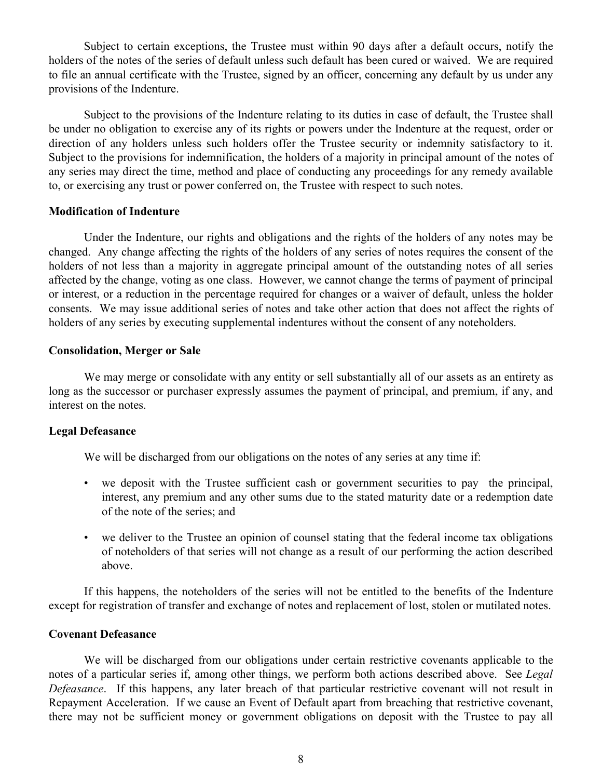Subject to certain exceptions, the Trustee must within 90 days after a default occurs, notify the holders of the notes of the series of default unless such default has been cured or waived. We are required to file an annual certificate with the Trustee, signed by an officer, concerning any default by us under any provisions of the Indenture.

Subject to the provisions of the Indenture relating to its duties in case of default, the Trustee shall be under no obligation to exercise any of its rights or powers under the Indenture at the request, order or direction of any holders unless such holders offer the Trustee security or indemnity satisfactory to it. Subject to the provisions for indemnification, the holders of a majority in principal amount of the notes of any series may direct the time, method and place of conducting any proceedings for any remedy available to, or exercising any trust or power conferred on, the Trustee with respect to such notes.

### **Modification of Indenture**

Under the Indenture, our rights and obligations and the rights of the holders of any notes may be changed. Any change affecting the rights of the holders of any series of notes requires the consent of the holders of not less than a majority in aggregate principal amount of the outstanding notes of all series affected by the change, voting as one class. However, we cannot change the terms of payment of principal or interest, or a reduction in the percentage required for changes or a waiver of default, unless the holder consents. We may issue additional series of notes and take other action that does not affect the rights of holders of any series by executing supplemental indentures without the consent of any noteholders.

### **Consolidation, Merger or Sale**

We may merge or consolidate with any entity or sell substantially all of our assets as an entirety as long as the successor or purchaser expressly assumes the payment of principal, and premium, if any, and interest on the notes.

### **Legal Defeasance**

We will be discharged from our obligations on the notes of any series at any time if:

- we deposit with the Trustee sufficient cash or government securities to pay the principal, interest, any premium and any other sums due to the stated maturity date or a redemption date of the note of the series; and
- we deliver to the Trustee an opinion of counsel stating that the federal income tax obligations of noteholders of that series will not change as a result of our performing the action described above.

If this happens, the noteholders of the series will not be entitled to the benefits of the Indenture except for registration of transfer and exchange of notes and replacement of lost, stolen or mutilated notes.

### **Covenant Defeasance**

We will be discharged from our obligations under certain restrictive covenants applicable to the notes of a particular series if, among other things, we perform both actions described above. See *Legal Defeasance*. If this happens, any later breach of that particular restrictive covenant will not result in Repayment Acceleration. If we cause an Event of Default apart from breaching that restrictive covenant, there may not be sufficient money or government obligations on deposit with the Trustee to pay all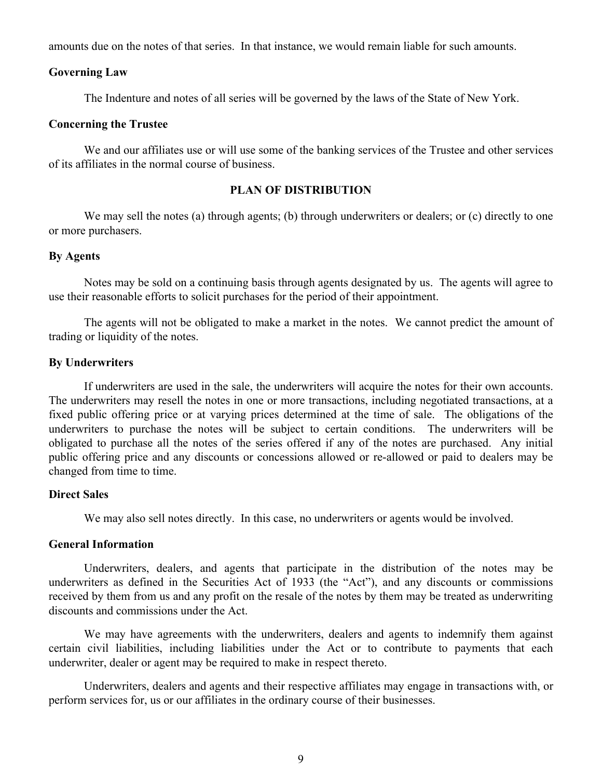amounts due on the notes of that series. In that instance, we would remain liable for such amounts.

### **Governing Law**

The Indenture and notes of all series will be governed by the laws of the State of New York.

### **Concerning the Trustee**

We and our affiliates use or will use some of the banking services of the Trustee and other services of its affiliates in the normal course of business.

### **PLAN OF DISTRIBUTION**

We may sell the notes (a) through agents; (b) through underwriters or dealers; or (c) directly to one or more purchasers.

### **By Agents**

Notes may be sold on a continuing basis through agents designated by us. The agents will agree to use their reasonable efforts to solicit purchases for the period of their appointment.

The agents will not be obligated to make a market in the notes. We cannot predict the amount of trading or liquidity of the notes.

### **By Underwriters**

If underwriters are used in the sale, the underwriters will acquire the notes for their own accounts. The underwriters may resell the notes in one or more transactions, including negotiated transactions, at a fixed public offering price or at varying prices determined at the time of sale. The obligations of the underwriters to purchase the notes will be subject to certain conditions. The underwriters will be obligated to purchase all the notes of the series offered if any of the notes are purchased. Any initial public offering price and any discounts or concessions allowed or re-allowed or paid to dealers may be changed from time to time.

### **Direct Sales**

We may also sell notes directly. In this case, no underwriters or agents would be involved.

### **General Information**

Underwriters, dealers, and agents that participate in the distribution of the notes may be underwriters as defined in the Securities Act of 1933 (the "Act"), and any discounts or commissions received by them from us and any profit on the resale of the notes by them may be treated as underwriting discounts and commissions under the Act.

We may have agreements with the underwriters, dealers and agents to indemnify them against certain civil liabilities, including liabilities under the Act or to contribute to payments that each underwriter, dealer or agent may be required to make in respect thereto.

Underwriters, dealers and agents and their respective affiliates may engage in transactions with, or perform services for, us or our affiliates in the ordinary course of their businesses.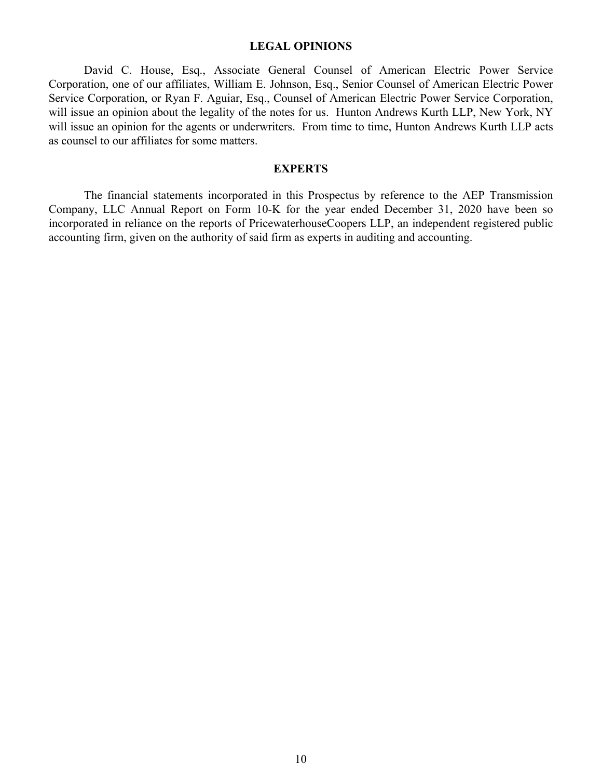### **LEGAL OPINIONS**

David C. House, Esq., Associate General Counsel of American Electric Power Service Corporation, one of our affiliates, William E. Johnson, Esq., Senior Counsel of American Electric Power Service Corporation, or Ryan F. Aguiar, Esq., Counsel of American Electric Power Service Corporation, will issue an opinion about the legality of the notes for us. Hunton Andrews Kurth LLP, New York, NY will issue an opinion for the agents or underwriters. From time to time, Hunton Andrews Kurth LLP acts as counsel to our affiliates for some matters.

### **EXPERTS**

The financial statements incorporated in this Prospectus by reference to the AEP Transmission Company, LLC Annual Report on Form 10-K for the year ended December 31, 2020 have been so incorporated in reliance on the reports of PricewaterhouseCoopers LLP, an independent registered public accounting firm, given on the authority of said firm as experts in auditing and accounting.